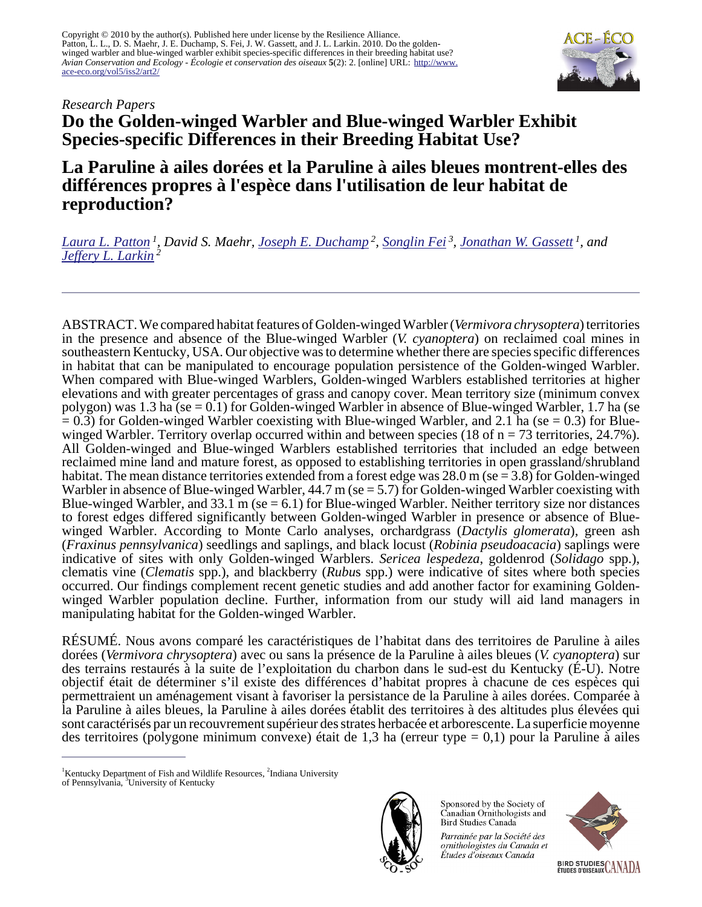

# *Research Papers* **Do the Golden-winged Warbler and Blue-winged Warbler Exhibit Species-specific Differences in their Breeding Habitat Use?**

**La Paruline à ailes dorées et la Paruline à ailes bleues montrent-elles des différences propres à l'espèce dans l'utilisation de leur habitat de reproduction?**

*[Laura L. Patton](mailto:laura.patton@ky.gov)<sup>1</sup> , David S. Maehr, [Joseph E. Duchamp](mailto:jduchamp@iup.edu)<sup>2</sup> , [Songlin Fei](mailto:songlin.fei@uky.edu)<sup>3</sup> , [Jonathan W. Gassett](mailto:jonathan.gassett@ky.gov)<sup>1</sup>, and [Jeffery L. Larkin](mailto:larkin@iup.edu)*<sup>2</sup>

ABSTRACT. We compared habitat features of Golden-winged Warbler (*Vermivora chrysoptera*) territories in the presence and absence of the Blue-winged Warbler (*V. cyanoptera*) on reclaimed coal mines in southeastern Kentucky, USA. Our objective was to determine whether there are species specific differences in habitat that can be manipulated to encourage population persistence of the Golden-winged Warbler. When compared with Blue-winged Warblers, Golden-winged Warblers established territories at higher elevations and with greater percentages of grass and canopy cover. Mean territory size (minimum convex polygon) was 1.3 ha (se  $= 0.1$ ) for Golden-winged Warbler in absence of Blue-winged Warbler, 1.7 ha (se  $= 0.3$ ) for Golden-winged Warbler coexisting with Blue-winged Warbler, and 2.1 ha (se = 0.3) for Bluewinged Warbler. Territory overlap occurred within and between species (18 of  $n = 73$  territories, 24.7%). All Golden-winged and Blue-winged Warblers established territories that included an edge between reclaimed mine land and mature forest, as opposed to establishing territories in open grassland/shrubland habitat. The mean distance territories extended from a forest edge was  $28.0$  m (se = 3.8) for Golden-winged Warbler in absence of Blue-winged Warbler,  $44.7$  m (se = 5.7) for Golden-winged Warbler coexisting with Blue-winged Warbler, and  $33.1 \text{ m}$  (se  $= 6.1$ ) for Blue-winged Warbler. Neither territory size nor distances to forest edges differed significantly between Golden-winged Warbler in presence or absence of Bluewinged Warbler. According to Monte Carlo analyses, orchardgrass (*Dactylis glomerata*), green ash (*Fraxinus pennsylvanica*) seedlings and saplings, and black locust (*Robinia pseudoacacia*) saplings were indicative of sites with only Golden-winged Warblers. *Sericea lespedeza*, goldenrod (*Solidago* spp.), clematis vine (*Clematis* spp.), and blackberry (*Rubu*s spp.) were indicative of sites where both species occurred. Our findings complement recent genetic studies and add another factor for examining Goldenwinged Warbler population decline. Further, information from our study will aid land managers in manipulating habitat for the Golden-winged Warbler.

RÉSUMÉ. Nous avons comparé les caractéristiques de l'habitat dans des territoires de Paruline à ailes dorées (*Vermivora chrysoptera*) avec ou sans la présence de la Paruline à ailes bleues (*V. cyanoptera*) sur des terrains restaurés à la suite de l'exploitation du charbon dans le sud-est du Kentucky (É-U). Notre objectif était de déterminer s'il existe des différences d'habitat propres à chacune de ces espèces qui permettraient un aménagement visant à favoriser la persistance de la Paruline à ailes dorées. Comparée à la Paruline à ailes bleues, la Paruline à ailes dorées établit des territoires à des altitudes plus élevées qui sont caractérisés par un recouvrement supérieur des strates herbacée et arborescente. La superficie moyenne des territoires (polygone minimum convexe) était de 1,3 ha (erreur type = 0,1) pour la Paruline à ailes



Sponsored by the Society of Canadian Ornithologists and Bird Studies Canada

Parrainée par la Société des ornithologistes du Canada et Études d'oiseaux Canada



<sup>&</sup>lt;sup>1</sup>Kentucky Department of Fish and Wildlife Resources, <sup>2</sup>Indiana University

of Pennsylvania, <sup>3</sup>University of Kentucky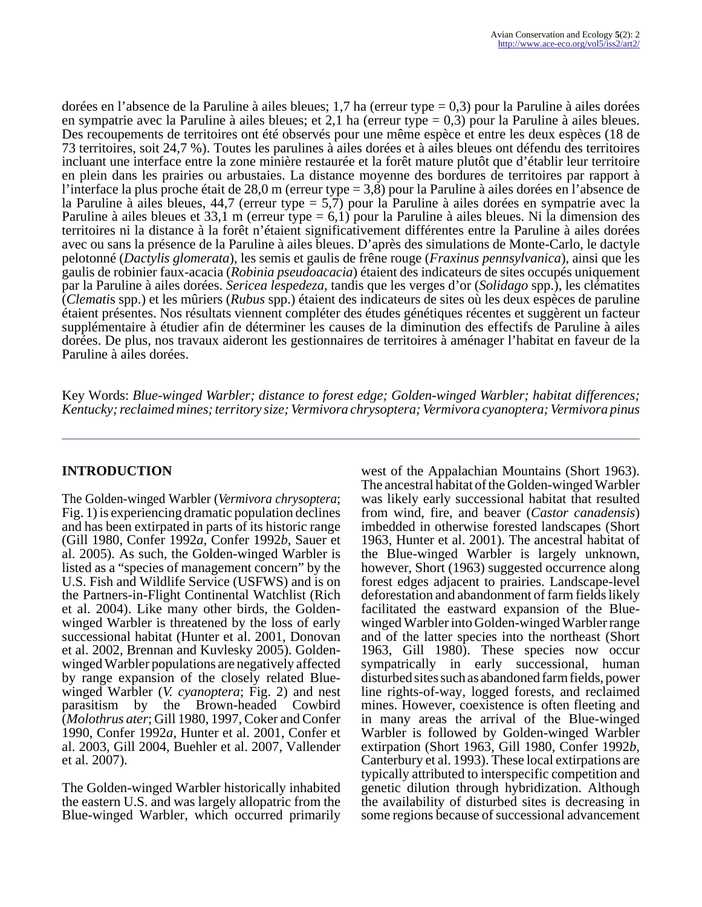dorées en l'absence de la Paruline à ailes bleues; 1,7 ha (erreur type = 0,3) pour la Paruline à ailes dorées en sympatrie avec la Paruline à ailes bleues; et 2,1 ha (erreur type = 0,3) pour la Paruline à ailes bleues. Des recoupements de territoires ont été observés pour une même espèce et entre les deux espèces (18 de 73 territoires, soit 24,7 %). Toutes les parulines à ailes dorées et à ailes bleues ont défendu des territoires incluant une interface entre la zone minière restaurée et la forêt mature plutôt que d'établir leur territoire en plein dans les prairies ou arbustaies. La distance moyenne des bordures de territoires par rapport à l'interface la plus proche était de 28,0 m (erreur type = 3,8) pour la Paruline à ailes dorées en l'absence de la Paruline à ailes bleues, 44,7 (erreur type = 5,7) pour la Paruline à ailes dorées en sympatrie avec la Paruline à ailes bleues et 33,1 m (erreur type  $= 6.1$ ) pour la Paruline à ailes bleues. Ni la dimension des territoires ni la distance à la forêt n'étaient significativement différentes entre la Paruline à ailes dorées avec ou sans la présence de la Paruline à ailes bleues. D'après des simulations de Monte-Carlo, le dactyle pelotonné (*Dactylis glomerata*), les semis et gaulis de frêne rouge (*Fraxinus pennsylvanica*), ainsi que les gaulis de robinier faux-acacia (*Robinia pseudoacacia*) étaient des indicateurs de sites occupés uniquement par la Paruline à ailes dorées. *Sericea lespedeza*, tandis que les verges d'or (*Solidago* spp.), les clématites (*Clemati*s spp.) et les mûriers (*Rubus* spp.) étaient des indicateurs de sites où les deux espèces de paruline étaient présentes. Nos résultats viennent compléter des études génétiques récentes et suggèrent un facteur supplémentaire à étudier afin de déterminer les causes de la diminution des effectifs de Paruline à ailes dorées. De plus, nos travaux aideront les gestionnaires de territoires à aménager l'habitat en faveur de la Paruline à ailes dorées.

Key Words: *Blue-winged Warbler; distance to forest edge; Golden-winged Warbler; habitat differences; Kentucky; reclaimed mines; territory size; Vermivora chrysoptera; Vermivora cyanoptera; Vermivora pinus*

### **INTRODUCTION**

The Golden-winged Warbler (*Vermivora chrysoptera*; Fig. 1) is experiencing dramatic population declines and has been extirpated in parts of its historic range (Gill 1980, Confer 1992*a*, Confer 1992*b*, Sauer et al. 2005). As such, the Golden-winged Warbler is listed as a "species of management concern" by the U.S. Fish and Wildlife Service (USFWS) and is on the Partners-in-Flight Continental Watchlist (Rich et al. 2004). Like many other birds, the Goldenwinged Warbler is threatened by the loss of early successional habitat (Hunter et al. 2001, Donovan et al. 2002, Brennan and Kuvlesky 2005). Goldenwinged Warbler populations are negatively affected by range expansion of the closely related Bluewinged Warbler (*V. cyanoptera*; Fig. 2) and nest parasitism by the Brown-headed Cowbird (*Molothrus ater*; Gill 1980, 1997, Coker and Confer 1990, Confer 1992*a*, Hunter et al. 2001, Confer et al. 2003, Gill 2004, Buehler et al. 2007, Vallender et al. 2007).

The Golden-winged Warbler historically inhabited the eastern U.S. and was largely allopatric from the Blue-winged Warbler, which occurred primarily west of the Appalachian Mountains (Short 1963). The ancestral habitat of the Golden-winged Warbler was likely early successional habitat that resulted from wind, fire, and beaver (*Castor canadensis*) imbedded in otherwise forested landscapes (Short 1963, Hunter et al. 2001). The ancestral habitat of the Blue-winged Warbler is largely unknown, however, Short (1963) suggested occurrence along forest edges adjacent to prairies. Landscape-level deforestation and abandonment of farm fields likely facilitated the eastward expansion of the Bluewinged Warbler into Golden-winged Warbler range and of the latter species into the northeast (Short 1963, Gill 1980). These species now occur sympatrically in early successional, human disturbed sites such as abandoned farm fields, power line rights-of-way, logged forests, and reclaimed mines. However, coexistence is often fleeting and in many areas the arrival of the Blue-winged Warbler is followed by Golden-winged Warbler extirpation (Short 1963, Gill 1980, Confer 1992*b*, Canterbury et al. 1993). These local extirpations are typically attributed to interspecific competition and genetic dilution through hybridization. Although the availability of disturbed sites is decreasing in some regions because of successional advancement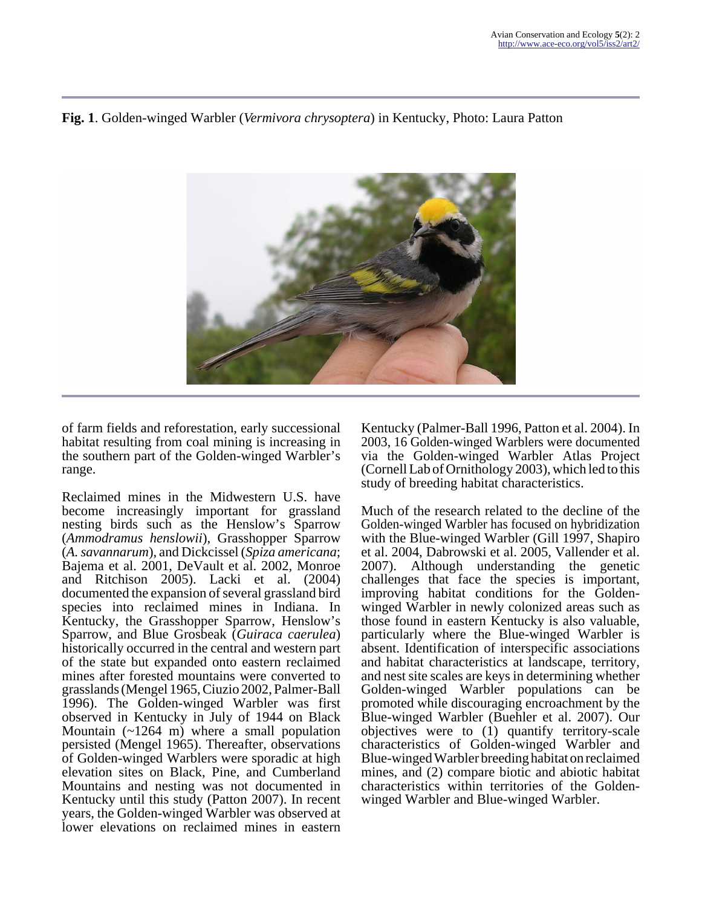**Fig. 1**. Golden-winged Warbler (*Vermivora chrysoptera*) in Kentucky, Photo: Laura Patton



of farm fields and reforestation, early successional habitat resulting from coal mining is increasing in the southern part of the Golden-winged Warbler's range.

Reclaimed mines in the Midwestern U.S. have become increasingly important for grassland nesting birds such as the Henslow's Sparrow (*Ammodramus henslowii*), Grasshopper Sparrow (*A. savannarum*), and Dickcissel (*Spiza americana*; Bajema et al. 2001, DeVault et al. 2002, Monroe and Ritchison 2005). Lacki et al. (2004) documented the expansion of several grassland bird species into reclaimed mines in Indiana. In Kentucky, the Grasshopper Sparrow, Henslow's Sparrow, and Blue Grosbeak (*Guiraca caerulea*) historically occurred in the central and western part of the state but expanded onto eastern reclaimed mines after forested mountains were converted to grasslands (Mengel 1965, Ciuzio 2002, Palmer-Ball 1996). The Golden-winged Warbler was first observed in Kentucky in July of 1944 on Black Mountain (~1264 m) where a small population persisted (Mengel 1965). Thereafter, observations of Golden-winged Warblers were sporadic at high elevation sites on Black, Pine, and Cumberland Mountains and nesting was not documented in Kentucky until this study (Patton 2007). In recent years, the Golden-winged Warbler was observed at lower elevations on reclaimed mines in eastern

Kentucky (Palmer-Ball 1996, Patton et al. 2004). In 2003, 16 Golden-winged Warblers were documented via the Golden-winged Warbler Atlas Project (Cornell Lab of Ornithology 2003), which led to this study of breeding habitat characteristics.

Much of the research related to the decline of the Golden-winged Warbler has focused on hybridization with the Blue-winged Warbler (Gill 1997, Shapiro et al. 2004, Dabrowski et al. 2005, Vallender et al. 2007). Although understanding the genetic challenges that face the species is important, improving habitat conditions for the Goldenwinged Warbler in newly colonized areas such as those found in eastern Kentucky is also valuable, particularly where the Blue-winged Warbler is absent. Identification of interspecific associations and habitat characteristics at landscape, territory, and nest site scales are keys in determining whether Golden-winged Warbler populations can be promoted while discouraging encroachment by the Blue-winged Warbler (Buehler et al. 2007). Our objectives were to (1) quantify territory-scale characteristics of Golden-winged Warbler and Blue-winged Warbler breeding habitat on reclaimed mines, and (2) compare biotic and abiotic habitat characteristics within territories of the Goldenwinged Warbler and Blue-winged Warbler.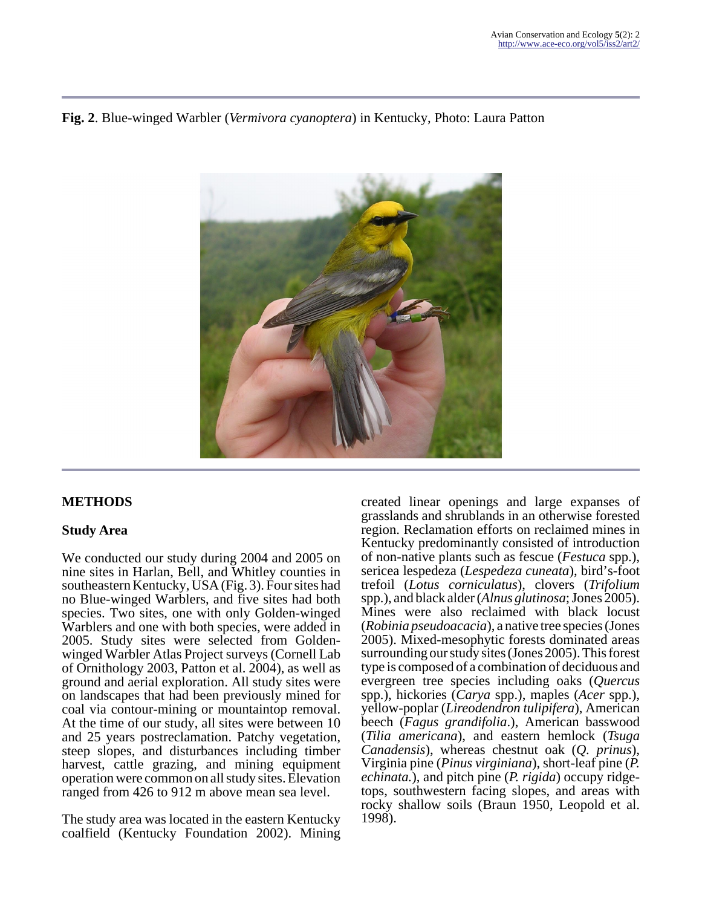**Fig. 2**. Blue-winged Warbler (*Vermivora cyanoptera*) in Kentucky, Photo: Laura Patton



### **METHODS**

### **Study Area**

We conducted our study during 2004 and 2005 on nine sites in Harlan, Bell, and Whitley counties in southeastern Kentucky, USA (Fig. 3). Four sites had no Blue-winged Warblers, and five sites had both species. Two sites, one with only Golden-winged Warblers and one with both species, were added in 2005. Study sites were selected from Goldenwinged Warbler Atlas Project surveys (Cornell Lab of Ornithology 2003, Patton et al. 2004), as well as ground and aerial exploration. All study sites were on landscapes that had been previously mined for coal via contour-mining or mountaintop removal. At the time of our study, all sites were between 10 and 25 years postreclamation. Patchy vegetation, steep slopes, and disturbances including timber harvest, cattle grazing, and mining equipment operation were common on all study sites. Elevation ranged from 426 to 912 m above mean sea level.

The study area was located in the eastern Kentucky coalfield (Kentucky Foundation 2002). Mining created linear openings and large expanses of grasslands and shrublands in an otherwise forested region. Reclamation efforts on reclaimed mines in Kentucky predominantly consisted of introduction of non-native plants such as fescue (*Festuca* spp.), sericea lespedeza (*Lespedeza cuneata*), bird's-foot trefoil (*Lotus corniculatus*), clovers (*Trifolium* spp.), and black alder (*Alnus glutinosa*; Jones 2005). Mines were also reclaimed with black locust (*Robinia pseudoacacia*), a native tree species (Jones 2005). Mixed-mesophytic forests dominated areas surrounding our study sites (Jones 2005). This forest type is composed of a combination of deciduous and evergreen tree species including oaks (*Quercus* spp.), hickories (*Carya* spp.), maples (*Acer* spp.), yellow-poplar (*Lireodendron tulipifera*), American beech (*Fagus grandifolia*.), American basswood (*Tilia americana*), and eastern hemlock (*Tsuga Canadensis*), whereas chestnut oak (*Q. prinus*), Virginia pine (*Pinus virginiana*), short-leaf pine (*P. echinata.*), and pitch pine (*P. rigida*) occupy ridgetops, southwestern facing slopes, and areas with rocky shallow soils (Braun 1950, Leopold et al. 1998).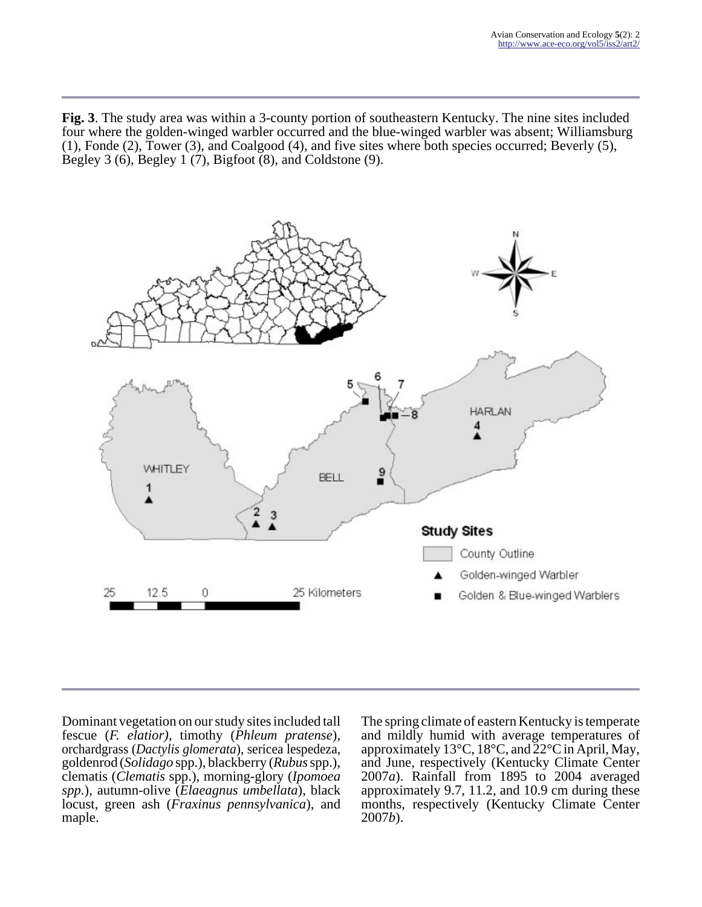**Fig. 3**. The study area was within a 3-county portion of southeastern Kentucky. The nine sites included four where the golden-winged warbler occurred and the blue-winged warbler was absent; Williamsburg (1), Fonde (2), Tower (3), and Coalgood (4), and five sites where both species occurred; Beverly (5), Begley 3 (6), Begley 1 (7), Bigfoot (8), and Coldstone (9).



Dominant vegetation on our study sites included tall fescue (*F. elatior)*, timothy (*Phleum pratense*), orchardgrass (*Dactylis glomerata*), sericea lespedeza, goldenrod (*Solidago* spp.), blackberry (*Rubus* spp.), clematis (*Clematis* spp.), morning-glory (*Ipomoea spp.*), autumn-olive (*Elaeagnus umbellata*), black locust, green ash (*Fraxinus pennsylvanica*), and maple.

The spring climate of eastern Kentucky is temperate and mildly humid with average temperatures of approximately 13°C, 18°C, and 22°C in April, May, and June, respectively (Kentucky Climate Center 2007 $a$ ). Rainfall from 1895 to 2004 averaged approximately 9.7, 11.2, and 10.9 cm during these months, respectively (Kentucky Climate Center 2007*b*).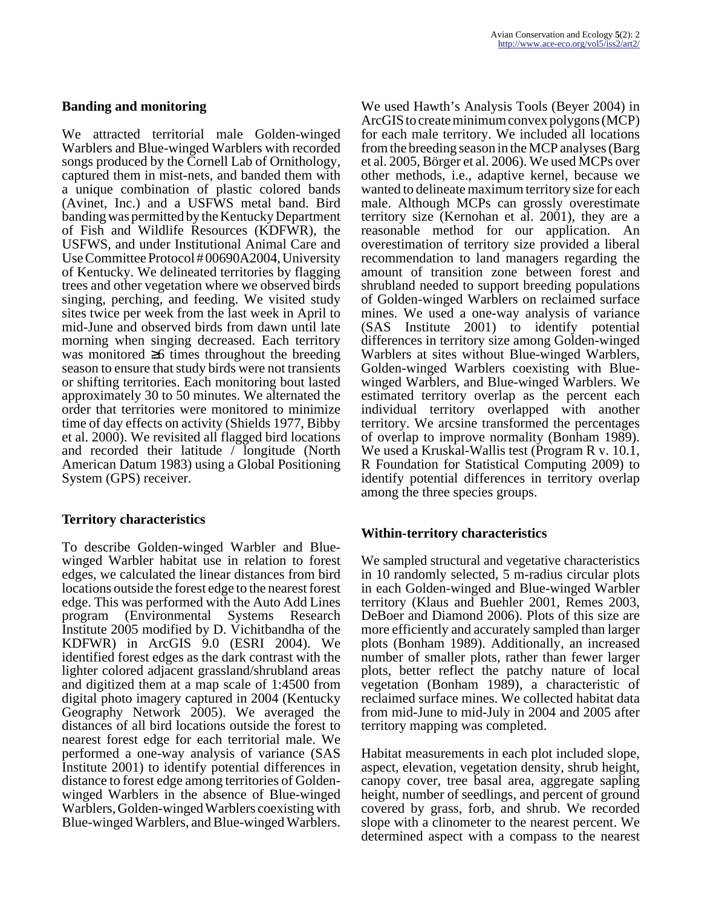#### **Banding and monitoring**

We attracted territorial male Golden-winged Warblers and Blue-winged Warblers with recorded songs produced by the Cornell Lab of Ornithology, captured them in mist-nets, and banded them with a unique combination of plastic colored bands (Avinet, Inc.) and a USFWS metal band. Bird banding was permitted by the Kentucky Department of Fish and Wildlife Resources (KDFWR), the USFWS, and under Institutional Animal Care and Use Committee Protocol # 00690A2004, University of Kentucky. We delineated territories by flagging trees and other vegetation where we observed birds singing, perching, and feeding. We visited study sites twice per week from the last week in April to mid-June and observed birds from dawn until late morning when singing decreased. Each territory was monitored ≥6 times throughout the breeding season to ensure that study birds were not transients or shifting territories. Each monitoring bout lasted approximately 30 to 50 minutes. We alternated the order that territories were monitored to minimize time of day effects on activity (Shields 1977, Bibby et al. 2000). We revisited all flagged bird locations and recorded their latitude / longitude (North American Datum 1983) using a Global Positioning System (GPS) receiver.

### **Territory characteristics**

To describe Golden-winged Warbler and Bluewinged Warbler habitat use in relation to forest edges, we calculated the linear distances from bird locations outside the forest edge to the nearest forest edge. This was performed with the Auto Add Lines program (Environmental Systems Research Institute 2005 modified by D. Vichitbandha of the KDFWR) in ArcGIS 9.0 (ESRI 2004). We identified forest edges as the dark contrast with the lighter colored adjacent grassland/shrubland areas and digitized them at a map scale of 1:4500 from digital photo imagery captured in 2004 (Kentucky Geography Network 2005). We averaged the distances of all bird locations outside the forest to nearest forest edge for each territorial male. We performed a one-way analysis of variance (SAS Institute 2001) to identify potential differences in distance to forest edge among territories of Goldenwinged Warblers in the absence of Blue-winged Warblers, Golden-winged Warblers coexisting with Blue-winged Warblers, and Blue-winged Warblers.

We used Hawth's Analysis Tools (Beyer 2004) in ArcGIS to create minimum convex polygons (MCP) for each male territory. We included all locations from the breeding season in the MCP analyses (Barg et al. 2005, Börger et al. 2006). We used MCPs over other methods, i.e., adaptive kernel, because we wanted to delineate maximum territory size for each male. Although MCPs can grossly overestimate territory size (Kernohan et al. 2001), they are a reasonable method for our application. An overestimation of territory size provided a liberal recommendation to land managers regarding the amount of transition zone between forest and shrubland needed to support breeding populations of Golden-winged Warblers on reclaimed surface mines. We used a one-way analysis of variance (SAS Institute 2001) to identify potential differences in territory size among Golden-winged Warblers at sites without Blue-winged Warblers, Golden-winged Warblers coexisting with Bluewinged Warblers, and Blue-winged Warblers. We estimated territory overlap as the percent each individual territory overlapped with another territory. We arcsine transformed the percentages of overlap to improve normality (Bonham 1989). We used a Kruskal-Wallis test (Program R v. 10.1, R Foundation for Statistical Computing 2009) to identify potential differences in territory overlap among the three species groups.

### **Within-territory characteristics**

We sampled structural and vegetative characteristics in 10 randomly selected, 5 m-radius circular plots in each Golden-winged and Blue-winged Warbler territory (Klaus and Buehler 2001, Remes 2003, DeBoer and Diamond 2006). Plots of this size are more efficiently and accurately sampled than larger plots (Bonham 1989). Additionally, an increased number of smaller plots, rather than fewer larger plots, better reflect the patchy nature of local vegetation (Bonham 1989), a characteristic of reclaimed surface mines. We collected habitat data from mid-June to mid-July in 2004 and 2005 after territory mapping was completed.

Habitat measurements in each plot included slope, aspect, elevation, vegetation density, shrub height, canopy cover, tree basal area, aggregate sapling height, number of seedlings, and percent of ground covered by grass, forb, and shrub. We recorded slope with a clinometer to the nearest percent. We determined aspect with a compass to the nearest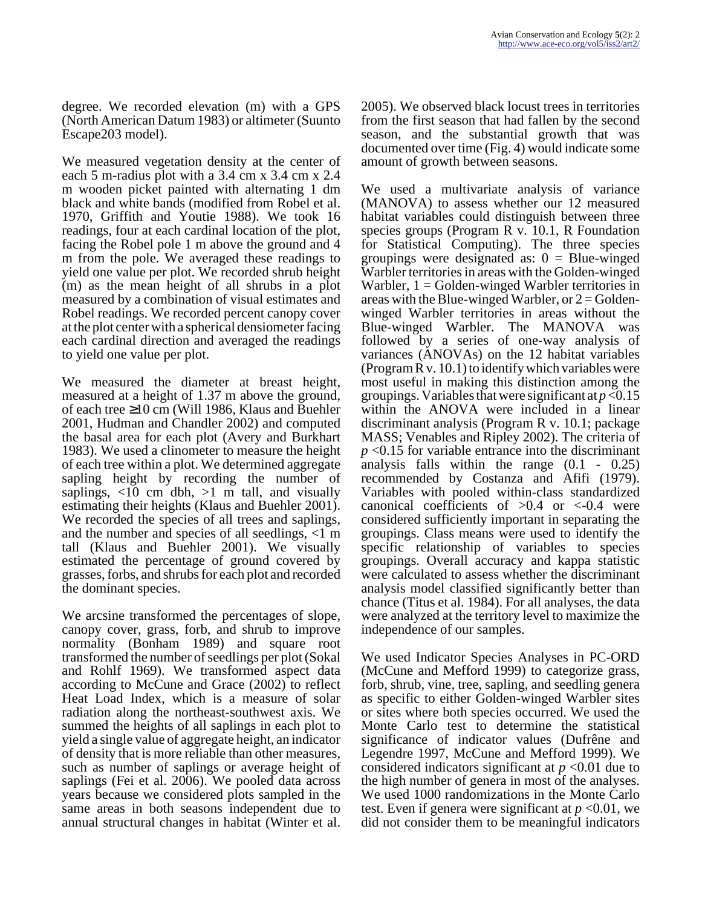degree. We recorded elevation (m) with a GPS (North American Datum 1983) or altimeter (Suunto Escape203 model).

We measured vegetation density at the center of each 5 m-radius plot with a 3.4 cm x 3.4 cm x 2.4 m wooden picket painted with alternating 1 dm black and white bands (modified from Robel et al. 1970, Griffith and Youtie 1988). We took 16 readings, four at each cardinal location of the plot, facing the Robel pole 1 m above the ground and 4 m from the pole. We averaged these readings to yield one value per plot. We recorded shrub height (m) as the mean height of all shrubs in a plot measured by a combination of visual estimates and Robel readings. We recorded percent canopy cover at the plot center with a spherical densiometer facing each cardinal direction and averaged the readings to yield one value per plot.

We measured the diameter at breast height, measured at a height of 1.37 m above the ground, of each tree  $\geq$ 10 cm (Will 1986, Klaus and Buehler 2001, Hudman and Chandler 2002) and computed the basal area for each plot (Avery and Burkhart 1983). We used a clinometer to measure the height of each tree within a plot. We determined aggregate sapling height by recording the number of saplings,  $\langle 10 \text{ cm dbh}, \rangle 1 \text{ m tall},$  and visually estimating their heights (Klaus and Buehler 2001). We recorded the species of all trees and saplings, and the number and species of all seedlings, <1 m tall (Klaus and Buehler 2001). We visually estimated the percentage of ground covered by grasses, forbs, and shrubs for each plot and recorded the dominant species.

We arcsine transformed the percentages of slope, canopy cover, grass, forb, and shrub to improve normality (Bonham 1989) and square root transformed the number of seedlings per plot (Sokal and Rohlf 1969). We transformed aspect data according to McCune and Grace (2002) to reflect Heat Load Index, which is a measure of solar radiation along the northeast-southwest axis. We summed the heights of all saplings in each plot to yield a single value of aggregate height, an indicator of density that is more reliable than other measures, such as number of saplings or average height of saplings (Fei et al. 2006). We pooled data across years because we considered plots sampled in the same areas in both seasons independent due to annual structural changes in habitat (Winter et al.

2005). We observed black locust trees in territories from the first season that had fallen by the second season, and the substantial growth that was documented over time (Fig. 4) would indicate some amount of growth between seasons.

We used a multivariate analysis of variance (MANOVA) to assess whether our 12 measured habitat variables could distinguish between three species groups (Program R v. 10.1, R Foundation for Statistical Computing). The three species groupings were designated as:  $0 =$  Blue-winged Warbler territories in areas with the Golden-winged Warbler,  $1 =$  Golden-winged Warbler territories in areas with the Blue-winged Warbler, or  $2 =$  Goldenwinged Warbler territories in areas without the Blue-winged Warbler. The MANOVA was followed by a series of one-way analysis of variances (ANOVAs) on the 12 habitat variables (Program R v. 10.1) to identify which variables were most useful in making this distinction among the groupings. Variables that were significant at  $p < 0.15$ within the ANOVA were included in a linear discriminant analysis (Program R v. 10.1; package MASS; Venables and Ripley 2002). The criteria of *p* <0.15 for variable entrance into the discriminant analysis falls within the range (0.1 - 0.25) recommended by Costanza and Afifi (1979). Variables with pooled within-class standardized canonical coefficients of  $>0.4$  or  $<-0.4$  were considered sufficiently important in separating the groupings. Class means were used to identify the specific relationship of variables to species groupings. Overall accuracy and kappa statistic were calculated to assess whether the discriminant analysis model classified significantly better than chance (Titus et al. 1984). For all analyses, the data were analyzed at the territory level to maximize the independence of our samples.

We used Indicator Species Analyses in PC-ORD (McCune and Mefford 1999) to categorize grass, forb, shrub, vine, tree, sapling, and seedling genera as specific to either Golden-winged Warbler sites or sites where both species occurred. We used the Monte Carlo test to determine the statistical significance of indicator values (Dufrêne and Legendre 1997, McCune and Mefford 1999). We considered indicators significant at  $p < 0.01$  due to the high number of genera in most of the analyses. We used 1000 randomizations in the Monte Carlo test. Even if genera were significant at  $p < 0.01$ , we did not consider them to be meaningful indicators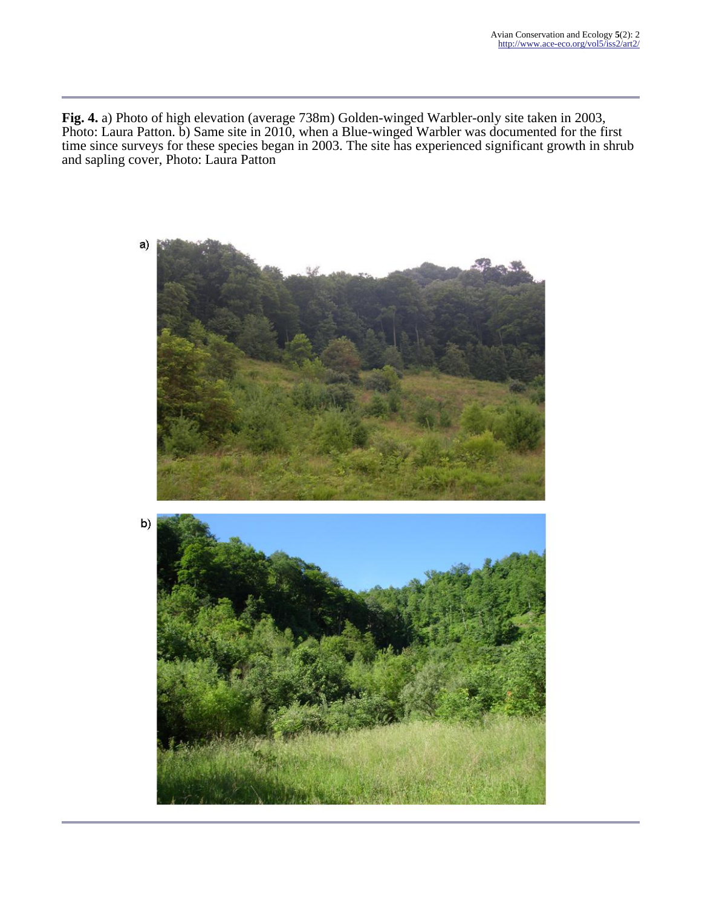**Fig. 4.** a) Photo of high elevation (average 738m) Golden-winged Warbler-only site taken in 2003, Photo: Laura Patton. b) Same site in 2010, when a Blue-winged Warbler was documented for the first time since surveys for these species began in 2003. The site has experienced significant growth in shrub and sapling cover, Photo: Laura Patton

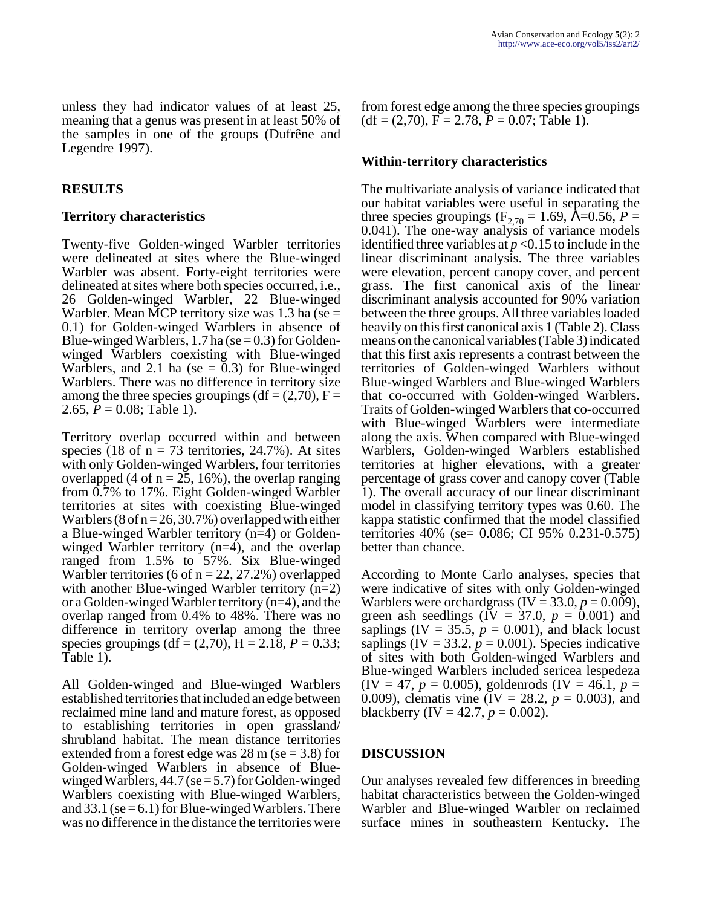unless they had indicator values of at least 25, meaning that a genus was present in at least 50% of the samples in one of the groups (Dufrêne and Legendre 1997).

# **RESULTS**

#### **Territory characteristics**

Twenty-five Golden-winged Warbler territories were delineated at sites where the Blue-winged Warbler was absent. Forty-eight territories were delineated at sites where both species occurred, i.e., 26 Golden-winged Warbler, 22 Blue-winged Warbler. Mean MCP territory size was  $1.3$  ha (se = 0.1) for Golden-winged Warblers in absence of Blue-winged Warblers,  $1.7$  ha (se = 0.3) for Goldenwinged Warblers coexisting with Blue-winged Warblers, and 2.1 ha (se  $= 0.3$ ) for Blue-winged Warblers. There was no difference in territory size among the three species groupings (df =  $(2,70)$ , F = 2.65,  $P = 0.08$ ; Table 1).

Territory overlap occurred within and between species (18 of  $n = 73$  territories, 24.7%). At sites with only Golden-winged Warblers, four territories overlapped (4 of  $n = 25$ , 16%), the overlap ranging from 0.7% to 17%. Eight Golden-winged Warbler territories at sites with coexisting Blue-winged Warblers  $(8 \text{ of } n = 26, 30.7\%)$  overlapped with either a Blue-winged Warbler territory (n=4) or Goldenwinged Warbler territory  $(n=4)$ , and the overlap ranged from 1.5% to 57%. Six Blue-winged Warbler territories (6 of  $n = 22, 27.2\%$ ) overlapped with another Blue-winged Warbler territory (n=2) or a Golden-winged Warbler territory (n=4), and the overlap ranged from 0.4% to 48%. There was no difference in territory overlap among the three species groupings (df =  $(2,70)$ , H = 2.18, P = 0.33; Table 1).

All Golden-winged and Blue-winged Warblers established territories that included an edge between reclaimed mine land and mature forest, as opposed to establishing territories in open grassland/ shrubland habitat. The mean distance territories extended from a forest edge was  $28 \text{ m}$  (se = 3.8) for Golden-winged Warblers in absence of Bluewinged Warblers,  $44.7$  (se = 5.7) for Golden-winged Warblers coexisting with Blue-winged Warblers, and 33.1 (se  $= 6.1$ ) for Blue-winged Warblers. There was no difference in the distance the territories were

from forest edge among the three species groupings  $(df = (2,70), F = 2.78, P = 0.07; Table 1).$ 

### **Within-territory characteristics**

The multivariate analysis of variance indicated that our habitat variables were useful in separating the three species groupings ( $F_{2,70} = 1.69$ ,  $\Lambda = 0.56$ ,  $P =$ 0.041). The one-way analysis of variance models identified three variables at  $p < 0.15$  to include in the linear discriminant analysis. The three variables were elevation, percent canopy cover, and percent grass. The first canonical axis of the linear discriminant analysis accounted for 90% variation between the three groups. All three variables loaded heavily on this first canonical axis 1 (Table 2). Class means on the canonical variables (Table 3) indicated that this first axis represents a contrast between the territories of Golden-winged Warblers without Blue-winged Warblers and Blue-winged Warblers that co-occurred with Golden-winged Warblers. Traits of Golden-winged Warblers that co-occurred with Blue-winged Warblers were intermediate along the axis. When compared with Blue-winged Warblers, Golden-winged Warblers established territories at higher elevations, with a greater percentage of grass cover and canopy cover (Table 1). The overall accuracy of our linear discriminant model in classifying territory types was 0.60. The kappa statistic confirmed that the model classified territories 40% (se= 0.086; CI 95% 0.231-0.575) better than chance.

According to Monte Carlo analyses, species that were indicative of sites with only Golden-winged Warblers were orchardgrass  $(IV = 33.0, p = 0.009)$ , green ash seedlings (IV = 37.0,  $p = 0.001$ ) and saplings (IV = 35.5,  $p = 0.001$ ), and black locust saplings (IV = 33.2,  $p = 0.001$ ). Species indicative of sites with both Golden-winged Warblers and Blue-winged Warblers included sericea lespedeza  $(IV = 47, p = 0.005)$ , goldenrods  $(IV = 46.1, p = 1)$ 0.009), clematis vine (IV = 28.2,  $p = 0.003$ ), and blackberry (IV = 42.7,  $p = 0.002$ ).

### **DISCUSSION**

Our analyses revealed few differences in breeding habitat characteristics between the Golden-winged Warbler and Blue-winged Warbler on reclaimed surface mines in southeastern Kentucky. The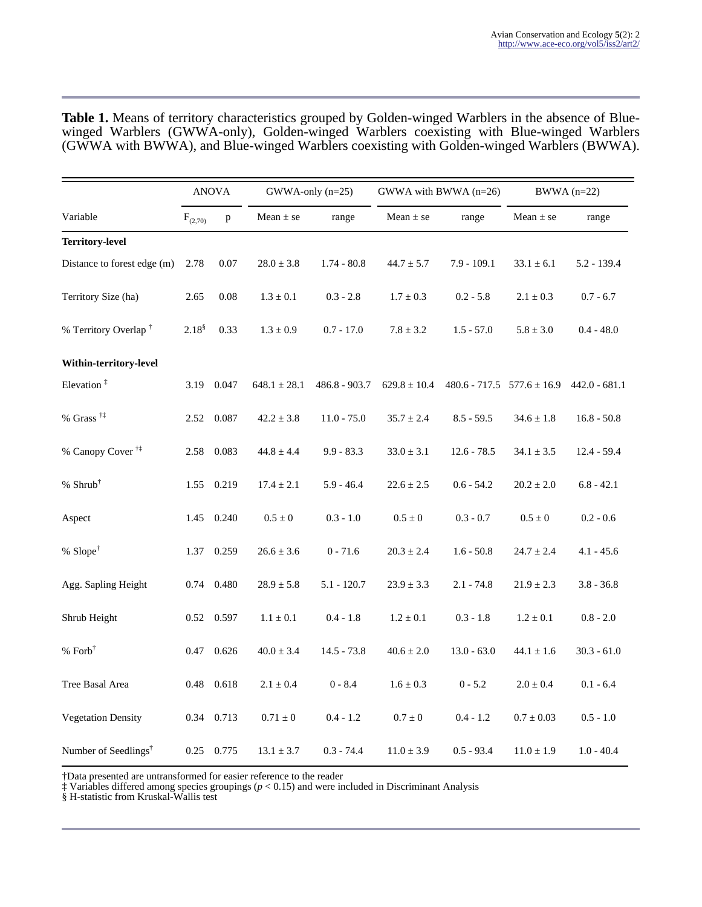**Table 1.** Means of territory characteristics grouped by Golden-winged Warblers in the absence of Bluewinged Warblers (GWWA-only), Golden-winged Warblers coexisting with Blue-winged Warblers (GWWA with BWWA), and Blue-winged Warblers coexisting with Golden-winged Warblers (BWWA).

|                                           | <b>ANOVA</b> |              | $GWWA$ -only (n=25) |                 | GWWA with BWWA $(n=26)$ |                                  | BWWA $(n=22)$  |                 |
|-------------------------------------------|--------------|--------------|---------------------|-----------------|-------------------------|----------------------------------|----------------|-----------------|
| Variable                                  | $F_{(2,70)}$ | $\, {\bf p}$ | Mean $\pm$ se       | range           | Mean $\pm$ se           | range                            | Mean $\pm$ se  | range           |
| <b>Territory-level</b>                    |              |              |                     |                 |                         |                                  |                |                 |
| Distance to forest edge (m)               | 2.78         | 0.07         | $28.0 \pm 3.8$      | $1.74 - 80.8$   | $44.7 \pm 5.7$          | $7.9 - 109.1$                    | $33.1 \pm 6.1$ | $5.2 - 139.4$   |
| Territory Size (ha)                       | 2.65         | 0.08         | $1.3 \pm 0.1$       | $0.3 - 2.8$     | $1.7 \pm 0.3$           | $0.2 - 5.8$                      | $2.1 \pm 0.3$  | $0.7 - 6.7$     |
| % Territory Overlap <sup>†</sup>          | $2.18^{8}$   | 0.33         | $1.3\pm0.9$         | $0.7 - 17.0$    | $7.8 \pm 3.2$           | $1.5 - 57.0$                     | $5.8 \pm 3.0$  | $0.4 - 48.0$    |
| Within-territory-level                    |              |              |                     |                 |                         |                                  |                |                 |
| Elevation <sup>‡</sup>                    | 3.19         | 0.047        | $648.1 \pm 28.1$    | $486.8 - 903.7$ | $629.8 \pm 10.4$        | $480.6 - 717.5$ $577.6 \pm 16.9$ |                | $442.0 - 681.1$ |
| % Grass <sup><math>\ddagger</math>‡</sup> | 2.52         | 0.087        | $42.2 \pm 3.8$      | $11.0 - 75.0$   | $35.7 \pm 2.4$          | $8.5 - 59.5$                     | $34.6 \pm 1.8$ | $16.8 - 50.8$   |
| % Canopy Cover <sup>†‡</sup>              | 2.58         | 0.083        | $44.8 \pm 4.4$      | $9.9 - 83.3$    | $33.0 \pm 3.1$          | $12.6 - 78.5$                    | $34.1 \pm 3.5$ | $12.4 - 59.4$   |
| $%$ Shrub $†$                             | 1.55         | 0.219        | $17.4 \pm 2.1$      | $5.9 - 46.4$    | $22.6 \pm 2.5$          | $0.6 - 54.2$                     | $20.2 \pm 2.0$ | $6.8 - 42.1$    |
| Aspect                                    | 1.45         | 0.240        | $0.5 \pm 0$         | $0.3 - 1.0$     | $0.5\pm0$               | $0.3 - 0.7$                      | $0.5 \pm 0$    | $0.2 - 0.6$     |
| % $Slope^{\dagger}$                       | 1.37         | 0.259        | $26.6 \pm 3.6$      | $0 - 71.6$      | $20.3 \pm 2.4$          | $1.6 - 50.8$                     | $24.7 \pm 2.4$ | $4.1 - 45.6$    |
| Agg. Sapling Height                       |              | 0.74 0.480   | $28.9 \pm 5.8$      | $5.1 - 120.7$   | $23.9 \pm 3.3$          | $2.1 - 74.8$                     | $21.9 \pm 2.3$ | $3.8 - 36.8$    |
| Shrub Height                              | 0.52         | 0.597        | $1.1\pm0.1$         | $0.4 - 1.8$     | $1.2 \pm 0.1$           | $0.3 - 1.8$                      | $1.2 \pm 0.1$  | $0.8 - 2.0$     |
| % $\text{Forb}^{\dagger}$                 | 0.47         | 0.626        | $40.0 \pm 3.4$      | $14.5 - 73.8$   | $40.6 \pm 2.0$          | $13.0 - 63.0$                    | $44.1 \pm 1.6$ | $30.3 - 61.0$   |
| Tree Basal Area                           | 0.48         | 0.618        | $2.1\pm0.4$         | $0 - 8.4$       | $1.6 \pm 0.3$           | $0 - 5.2$                        | $2.0 \pm 0.4$  | $0.1 - 6.4$     |
| <b>Vegetation Density</b>                 | 0.34         | 0.713        | $0.71 \pm 0$        | $0.4 - 1.2$     | $0.7 \pm 0$             | $0.4 - 1.2$                      | $0.7\pm0.03$   | $0.5 - 1.0$     |
| Number of Seedlings <sup>†</sup>          |              | $0.25$ 0.775 | $13.1 \pm 3.7$      | $0.3 - 74.4$    | $11.0 \pm 3.9$          | $0.5 - 93.4$                     | $11.0 \pm 1.9$ | $1.0 - 40.4$    |

†Data presented are untransformed for easier reference to the reader

‡ Variables differed among species groupings (*p* < 0.15) and were included in Discriminant Analysis

§ H-statistic from Kruskal-Wallis test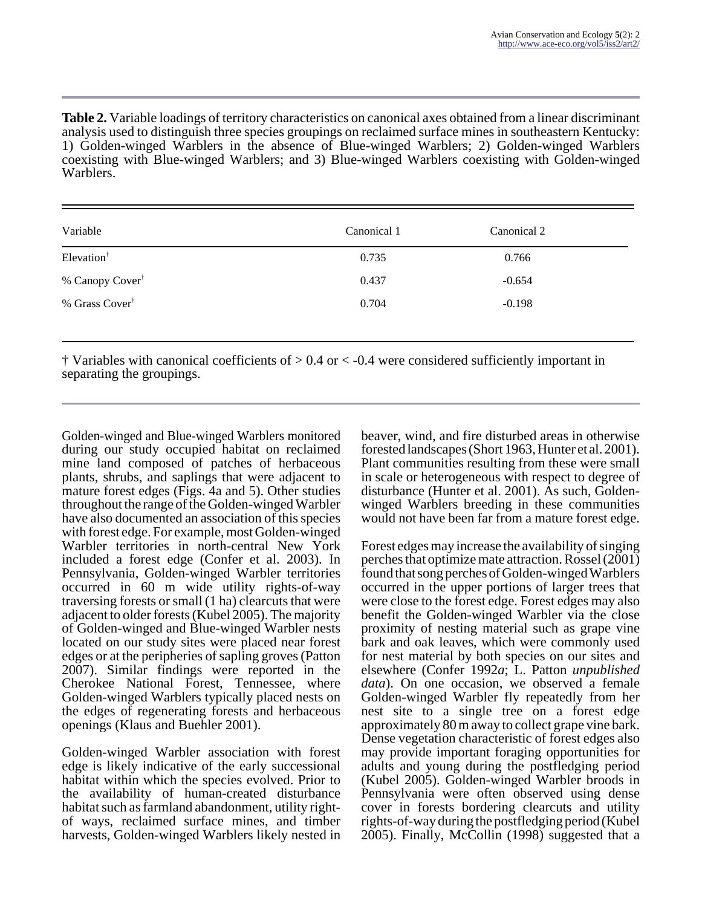**Table 2.** Variable loadings of territory characteristics on canonical axes obtained from a linear discriminant analysis used to distinguish three species groupings on reclaimed surface mines in southeastern Kentucky: 1) Golden-winged Warblers in the absence of Blue-winged Warblers; 2) Golden-winged Warblers coexisting with Blue-winged Warblers; and 3) Blue-winged Warblers coexisting with Golden-winged Warblers.

| Variable                    | Canonical 1 | Canonical 2 |
|-----------------------------|-------------|-------------|
| Elevation <sup>†</sup>      | 0.735       | 0.766       |
| % Canopy Cover <sup>†</sup> | 0.437       | $-0.654$    |
| % Grass Cover <sup>†</sup>  | 0.704       | $-0.198$    |

 $\dagger$  Variables with canonical coefficients of  $> 0.4$  or  $< -0.4$  were considered sufficiently important in separating the groupings.

Golden-winged and Blue-winged Warblers monitored during our study occupied habitat on reclaimed mine land composed of patches of herbaceous plants, shrubs, and saplings that were adjacent to mature forest edges (Figs. 4a and 5). Other studies throughout the range of the Golden-winged Warbler have also documented an association of this species with forest edge. For example, most Golden-winged Warbler territories in north-central New York included a forest edge (Confer et al. 2003). In Pennsylvania, Golden-winged Warbler territories occurred in 60 m wide utility rights-of-way traversing forests or small (1 ha) clearcuts that were adjacent to older forests (Kubel 2005). The majority of Golden-winged and Blue-winged Warbler nests located on our study sites were placed near forest edges or at the peripheries of sapling groves (Patton 2007). Similar findings were reported in the Cherokee National Forest, Tennessee, where Golden-winged Warblers typically placed nests on the edges of regenerating forests and herbaceous openings (Klaus and Buehler 2001).

Golden-winged Warbler association with forest edge is likely indicative of the early successional habitat within which the species evolved. Prior to the availability of human-created disturbance habitat such as farmland abandonment, utility rightof ways, reclaimed surface mines, and timber harvests, Golden-winged Warblers likely nested in beaver, wind, and fire disturbed areas in otherwise forested landscapes (Short 1963, Hunter et al. 2001). Plant communities resulting from these were small in scale or heterogeneous with respect to degree of disturbance (Hunter et al. 2001). As such, Goldenwinged Warblers breeding in these communities would not have been far from a mature forest edge.

Forest edges may increase the availability of singing perches that optimize mate attraction. Rossel (2001) found that song perches of Golden-winged Warblers occurred in the upper portions of larger trees that were close to the forest edge. Forest edges may also benefit the Golden-winged Warbler via the close proximity of nesting material such as grape vine bark and oak leaves, which were commonly used for nest material by both species on our sites and elsewhere (Confer 1992*a*; L. Patton *unpublished data*). On one occasion, we observed a female Golden-winged Warbler fly repeatedly from her nest site to a single tree on a forest edge approximately 80 m away to collect grape vine bark. Dense vegetation characteristic of forest edges also may provide important foraging opportunities for adults and young during the postfledging period (Kubel 2005). Golden-winged Warbler broods in Pennsylvania were often observed using dense cover in forests bordering clearcuts and utility rights-of-way during the postfledging period (Kubel 2005). Finally, McCollin (1998) suggested that a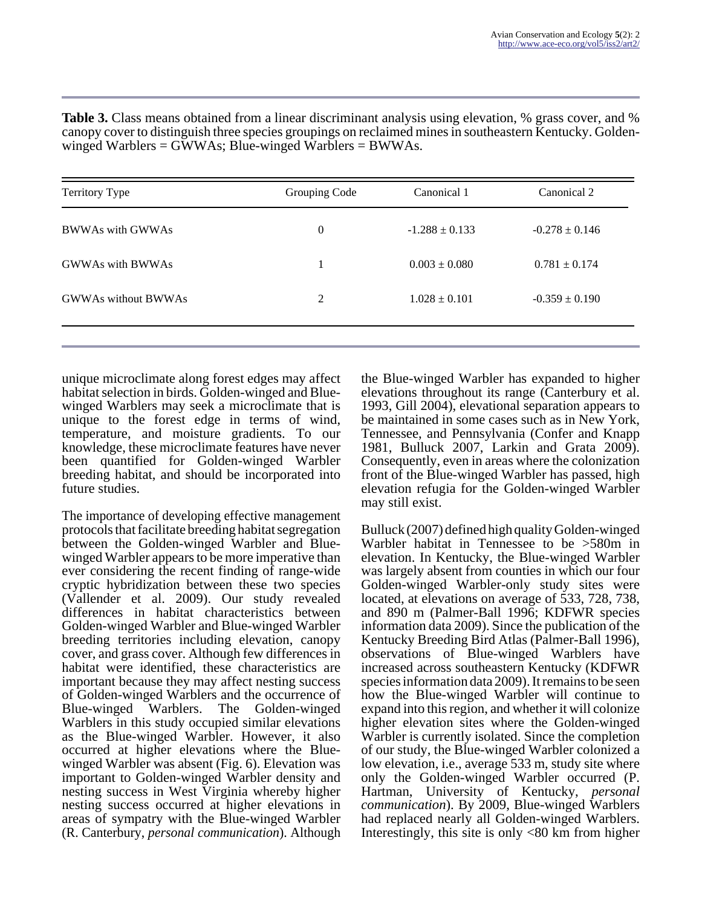| <b>Territory Type</b>      | Grouping Code | Canonical 1        | Canonical 2        |
|----------------------------|---------------|--------------------|--------------------|
| <b>BWWAs with GWWAs</b>    | $\mathbf{0}$  | $-1.288 \pm 0.133$ | $-0.278 \pm 0.146$ |
| <b>GWWAs with BWWAs</b>    |               | $0.003 \pm 0.080$  | $0.781 \pm 0.174$  |
| <b>GWWAs without BWWAs</b> | 2             | $1.028 \pm 0.101$  | $-0.359 \pm 0.190$ |

**Table 3.** Class means obtained from a linear discriminant analysis using elevation, % grass cover, and % canopy cover to distinguish three species groupings on reclaimed mines in southeastern Kentucky. Goldenwinged Warblers = GWWAs; Blue-winged Warblers = BWWAs.

unique microclimate along forest edges may affect habitat selection in birds. Golden-winged and Bluewinged Warblers may seek a microclimate that is unique to the forest edge in terms of wind, temperature, and moisture gradients. To our knowledge, these microclimate features have never been quantified for Golden-winged Warbler breeding habitat, and should be incorporated into future studies.

The importance of developing effective management protocols that facilitate breeding habitat segregation between the Golden-winged Warbler and Bluewinged Warbler appears to be more imperative than ever considering the recent finding of range-wide cryptic hybridization between these two species (Vallender et al. 2009). Our study revealed differences in habitat characteristics between Golden-winged Warbler and Blue-winged Warbler breeding territories including elevation, canopy cover, and grass cover. Although few differences in habitat were identified, these characteristics are important because they may affect nesting success of Golden-winged Warblers and the occurrence of Blue-winged Warblers. The Golden-winged Warblers in this study occupied similar elevations as the Blue-winged Warbler. However, it also occurred at higher elevations where the Bluewinged Warbler was absent (Fig. 6). Elevation was important to Golden-winged Warbler density and nesting success in West Virginia whereby higher nesting success occurred at higher elevations in areas of sympatry with the Blue-winged Warbler (R. Canterbury, *personal communication*). Although

the Blue-winged Warbler has expanded to higher elevations throughout its range (Canterbury et al. 1993, Gill 2004), elevational separation appears to be maintained in some cases such as in New York, Tennessee, and Pennsylvania (Confer and Knapp 1981, Bulluck 2007, Larkin and Grata 2009). Consequently, even in areas where the colonization front of the Blue-winged Warbler has passed, high elevation refugia for the Golden-winged Warbler may still exist.

Bulluck (2007) defined high quality Golden-winged Warbler habitat in Tennessee to be >580m in elevation. In Kentucky, the Blue-winged Warbler was largely absent from counties in which our four Golden-winged Warbler-only study sites were located, at elevations on average of 533, 728, 738, and 890 m (Palmer-Ball 1996; KDFWR species information data 2009). Since the publication of the Kentucky Breeding Bird Atlas (Palmer-Ball 1996), observations of Blue-winged Warblers have increased across southeastern Kentucky (KDFWR species information data 2009). It remains to be seen how the Blue-winged Warbler will continue to expand into this region, and whether it will colonize higher elevation sites where the Golden-winged Warbler is currently isolated. Since the completion of our study, the Blue-winged Warbler colonized a low elevation, i.e., average 533 m, study site where only the Golden-winged Warbler occurred (P. Hartman, University of Kentucky, *personal communication*). By 2009, Blue-winged Warblers had replaced nearly all Golden-winged Warblers. Interestingly, this site is only  $\langle 80 \text{ km from higher}]$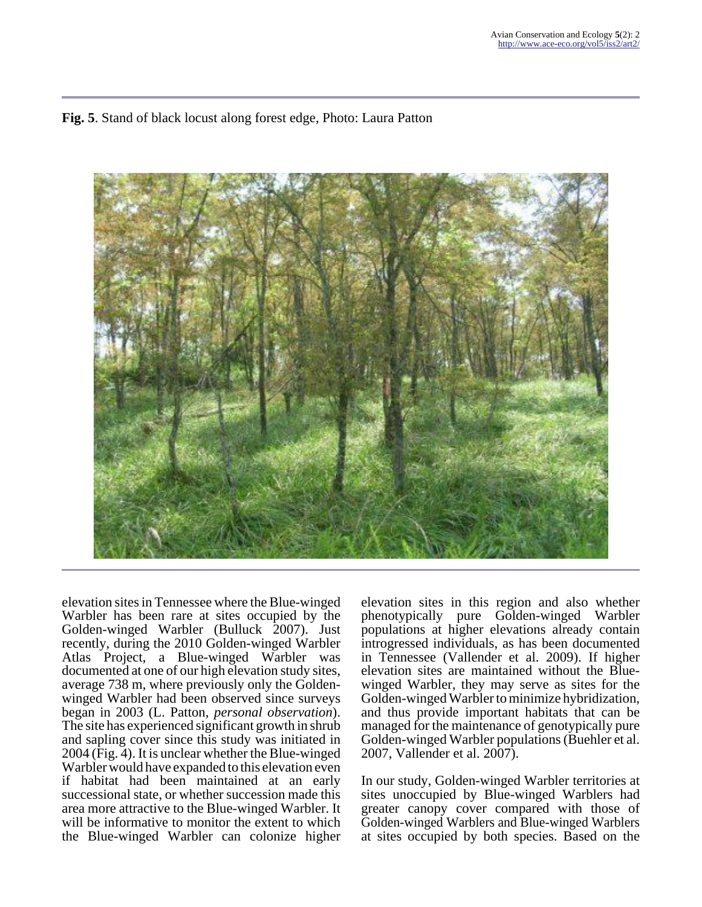### **Fig. 5**. Stand of black locust along forest edge, Photo: Laura Patton



elevation sites in Tennessee where the Blue-winged Warbler has been rare at sites occupied by the Golden-winged Warbler (Bulluck 2007). Just recently, during the 2010 Golden-winged Warbler Atlas Project, a Blue-winged Warbler was documented at one of our high elevation study sites, average 738 m, where previously only the Goldenwinged Warbler had been observed since surveys began in 2003 (L. Patton, *personal observation*). The site has experienced significant growth in shrub and sapling cover since this study was initiated in 2004 (Fig. 4). It is unclear whether the Blue-winged Warbler would have expanded to this elevation even if habitat had been maintained at an early successional state, or whether succession made this area more attractive to the Blue-winged Warbler. It will be informative to monitor the extent to which the Blue-winged Warbler can colonize higher

elevation sites in this region and also whether phenotypically pure Golden-winged Warbler populations at higher elevations already contain introgressed individuals, as has been documented in Tennessee (Vallender et al. 2009). If higher elevation sites are maintained without the Bluewinged Warbler, they may serve as sites for the Golden-winged Warbler to minimize hybridization, and thus provide important habitats that can be managed for the maintenance of genotypically pure Golden-winged Warbler populations (Buehler et al. 2007, Vallender et al. 2007).

In our study, Golden-winged Warbler territories at sites unoccupied by Blue-winged Warblers had greater canopy cover compared with those of Golden-winged Warblers and Blue-winged Warblers at sites occupied by both species. Based on the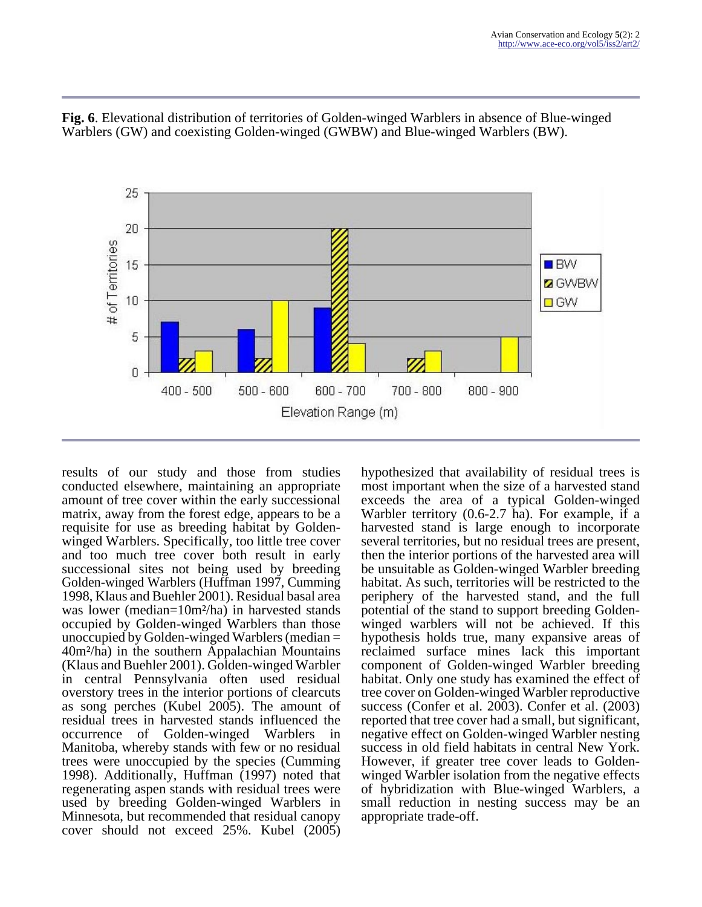

**Fig. 6**. Elevational distribution of territories of Golden-winged Warblers in absence of Blue-winged Warblers (GW) and coexisting Golden-winged (GWBW) and Blue-winged Warblers (BW).

results of our study and those from studies conducted elsewhere, maintaining an appropriate amount of tree cover within the early successional matrix, away from the forest edge, appears to be a requisite for use as breeding habitat by Goldenwinged Warblers. Specifically, too little tree cover and too much tree cover both result in early successional sites not being used by breeding Golden-winged Warblers (Huffman 1997, Cumming 1998, Klaus and Buehler 2001). Residual basal area was lower (median=10m²/ha) in harvested stands occupied by Golden-winged Warblers than those unoccupied by Golden-winged Warblers (median = 40m²/ha) in the southern Appalachian Mountains (Klaus and Buehler 2001). Golden-winged Warbler in central Pennsylvania often used residual overstory trees in the interior portions of clearcuts as song perches (Kubel 2005). The amount of residual trees in harvested stands influenced the occurrence of Golden-winged Warblers in Manitoba, whereby stands with few or no residual trees were unoccupied by the species (Cumming 1998). Additionally, Huffman (1997) noted that regenerating aspen stands with residual trees were used by breeding Golden-winged Warblers in Minnesota, but recommended that residual canopy cover should not exceed 25%. Kubel (2005)

hypothesized that availability of residual trees is most important when the size of a harvested stand exceeds the area of a typical Golden-winged Warbler territory (0.6-2.7 ha). For example, if a harvested stand is large enough to incorporate several territories, but no residual trees are present, then the interior portions of the harvested area will be unsuitable as Golden-winged Warbler breeding habitat. As such, territories will be restricted to the periphery of the harvested stand, and the full potential of the stand to support breeding Goldenwinged warblers will not be achieved. If this hypothesis holds true, many expansive areas of reclaimed surface mines lack this important component of Golden-winged Warbler breeding habitat. Only one study has examined the effect of tree cover on Golden-winged Warbler reproductive success (Confer et al. 2003). Confer et al. (2003) reported that tree cover had a small, but significant, negative effect on Golden-winged Warbler nesting success in old field habitats in central New York. However, if greater tree cover leads to Goldenwinged Warbler isolation from the negative effects of hybridization with Blue-winged Warblers, a small reduction in nesting success may be an appropriate trade-off.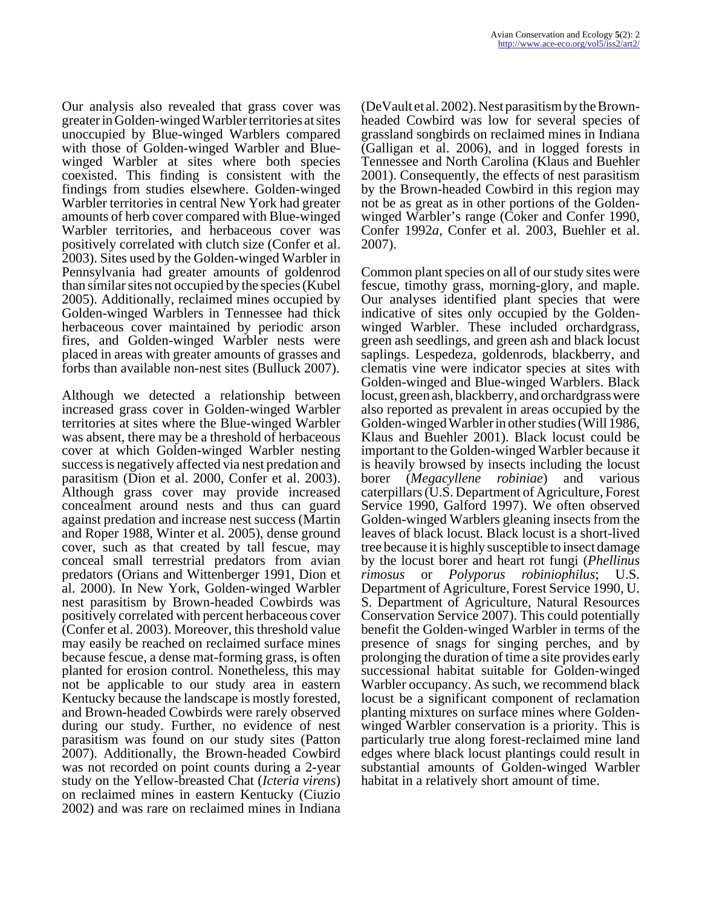Our analysis also revealed that grass cover was greater in Golden-winged Warbler territories at sites unoccupied by Blue-winged Warblers compared with those of Golden-winged Warbler and Bluewinged Warbler at sites where both species coexisted. This finding is consistent with the findings from studies elsewhere. Golden-winged Warbler territories in central New York had greater amounts of herb cover compared with Blue-winged Warbler territories, and herbaceous cover was positively correlated with clutch size (Confer et al. 2003). Sites used by the Golden-winged Warbler in Pennsylvania had greater amounts of goldenrod than similar sites not occupied by the species (Kubel 2005). Additionally, reclaimed mines occupied by Golden-winged Warblers in Tennessee had thick herbaceous cover maintained by periodic arson fires, and Golden-winged Warbler nests were placed in areas with greater amounts of grasses and forbs than available non-nest sites (Bulluck 2007).

Although we detected a relationship between increased grass cover in Golden-winged Warbler territories at sites where the Blue-winged Warbler was absent, there may be a threshold of herbaceous cover at which Golden-winged Warbler nesting success is negatively affected via nest predation and parasitism (Dion et al. 2000, Confer et al. 2003). Although grass cover may provide increased concealment around nests and thus can guard against predation and increase nest success (Martin and Roper 1988, Winter et al. 2005), dense ground cover, such as that created by tall fescue, may conceal small terrestrial predators from avian predators (Orians and Wittenberger 1991, Dion et al. 2000). In New York, Golden-winged Warbler nest parasitism by Brown-headed Cowbirds was positively correlated with percent herbaceous cover (Confer et al. 2003). Moreover, this threshold value may easily be reached on reclaimed surface mines because fescue, a dense mat-forming grass, is often planted for erosion control. Nonetheless, this may not be applicable to our study area in eastern Kentucky because the landscape is mostly forested, and Brown-headed Cowbirds were rarely observed during our study. Further, no evidence of nest parasitism was found on our study sites (Patton 2007). Additionally, the Brown-headed Cowbird was not recorded on point counts during a 2-year study on the Yellow-breasted Chat (*Icteria virens*) on reclaimed mines in eastern Kentucky (Ciuzio 2002) and was rare on reclaimed mines in Indiana

(DeVault et al. 2002). Nest parasitism by the Brownheaded Cowbird was low for several species of grassland songbirds on reclaimed mines in Indiana (Galligan et al. 2006), and in logged forests in Tennessee and North Carolina (Klaus and Buehler 2001). Consequently, the effects of nest parasitism by the Brown-headed Cowbird in this region may not be as great as in other portions of the Goldenwinged Warbler's range (Coker and Confer 1990, Confer 1992*a*, Confer et al. 2003, Buehler et al. 2007).

Common plant species on all of our study sites were fescue, timothy grass, morning-glory, and maple. Our analyses identified plant species that were indicative of sites only occupied by the Goldenwinged Warbler. These included orchardgrass, green ash seedlings, and green ash and black locust saplings. Lespedeza, goldenrods, blackberry, and clematis vine were indicator species at sites with Golden-winged and Blue-winged Warblers. Black locust, green ash, blackberry, and orchardgrass were also reported as prevalent in areas occupied by the Golden-winged Warbler in other studies (Will 1986, Klaus and Buehler 2001). Black locust could be important to the Golden-winged Warbler because it is heavily browsed by insects including the locust borer (*Megacyllene robiniae*) and various caterpillars (U.S. Department of Agriculture, Forest Service 1990, Galford 1997). We often observed Golden-winged Warblers gleaning insects from the leaves of black locust. Black locust is a short-lived tree because it is highly susceptible to insect damage by the locust borer and heart rot fungi (*Phellinus rimosus* or *Polyporus robiniophilus*; U.S. Department of Agriculture, Forest Service 1990, U. S. Department of Agriculture, Natural Resources Conservation Service 2007). This could potentially benefit the Golden-winged Warbler in terms of the presence of snags for singing perches, and by prolonging the duration of time a site provides early successional habitat suitable for Golden-winged Warbler occupancy. As such, we recommend black locust be a significant component of reclamation planting mixtures on surface mines where Goldenwinged Warbler conservation is a priority. This is particularly true along forest-reclaimed mine land edges where black locust plantings could result in substantial amounts of Golden-winged Warbler habitat in a relatively short amount of time.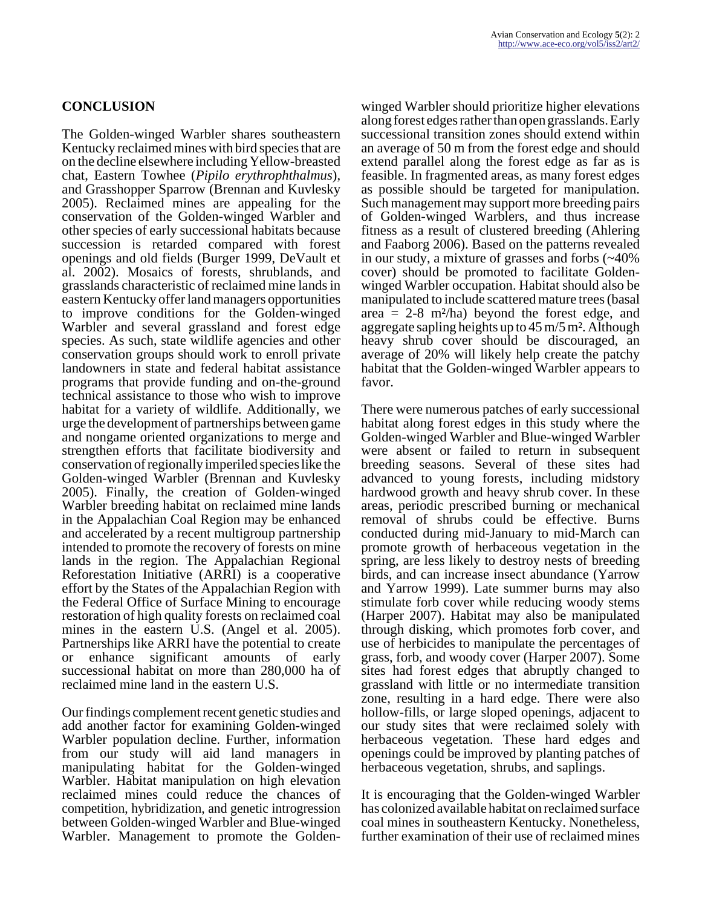# **CONCLUSION**

The Golden-winged Warbler shares southeastern Kentucky reclaimed mines with bird species that are on the decline elsewhere including Yellow-breasted chat, Eastern Towhee (*Pipilo erythrophthalmus*), and Grasshopper Sparrow (Brennan and Kuvlesky 2005). Reclaimed mines are appealing for the conservation of the Golden-winged Warbler and other species of early successional habitats because succession is retarded compared with forest openings and old fields (Burger 1999, DeVault et al. 2002). Mosaics of forests, shrublands, and grasslands characteristic of reclaimed mine lands in eastern Kentucky offer land managers opportunities to improve conditions for the Golden-winged Warbler and several grassland and forest edge species. As such, state wildlife agencies and other conservation groups should work to enroll private landowners in state and federal habitat assistance programs that provide funding and on-the-ground technical assistance to those who wish to improve habitat for a variety of wildlife. Additionally, we urge the development of partnerships between game and nongame oriented organizations to merge and strengthen efforts that facilitate biodiversity and conservation of regionally imperiled species like the Golden-winged Warbler (Brennan and Kuvlesky 2005). Finally, the creation of Golden-winged Warbler breeding habitat on reclaimed mine lands in the Appalachian Coal Region may be enhanced and accelerated by a recent multigroup partnership intended to promote the recovery of forests on mine lands in the region. The Appalachian Regional Reforestation Initiative (ARRI) is a cooperative effort by the States of the Appalachian Region with the Federal Office of Surface Mining to encourage restoration of high quality forests on reclaimed coal mines in the eastern U.S. (Angel et al. 2005). Partnerships like ARRI have the potential to create or enhance significant amounts of early successional habitat on more than 280,000 ha of reclaimed mine land in the eastern U.S.

Our findings complement recent genetic studies and add another factor for examining Golden-winged Warbler population decline. Further, information from our study will aid land managers in manipulating habitat for the Golden-winged Warbler. Habitat manipulation on high elevation reclaimed mines could reduce the chances of competition, hybridization, and genetic introgression between Golden-winged Warbler and Blue-winged Warbler. Management to promote the Goldenwinged Warbler should prioritize higher elevations along forest edges rather than open grasslands. Early successional transition zones should extend within an average of 50 m from the forest edge and should extend parallel along the forest edge as far as is feasible. In fragmented areas, as many forest edges as possible should be targeted for manipulation. Such management may support more breeding pairs of Golden-winged Warblers, and thus increase fitness as a result of clustered breeding (Ahlering and Faaborg 2006). Based on the patterns revealed in our study, a mixture of grasses and forbs (~40% cover) should be promoted to facilitate Goldenwinged Warbler occupation. Habitat should also be manipulated to include scattered mature trees (basal area  $= 2-8$  m<sup>2</sup>/ha) beyond the forest edge, and aggregate sapling heights up to 45 m/5 m². Although heavy shrub cover should be discouraged, an average of 20% will likely help create the patchy habitat that the Golden-winged Warbler appears to favor.

There were numerous patches of early successional habitat along forest edges in this study where the Golden-winged Warbler and Blue-winged Warbler were absent or failed to return in subsequent breeding seasons. Several of these sites had advanced to young forests, including midstory hardwood growth and heavy shrub cover. In these areas, periodic prescribed burning or mechanical removal of shrubs could be effective. Burns conducted during mid-January to mid-March can promote growth of herbaceous vegetation in the spring, are less likely to destroy nests of breeding birds, and can increase insect abundance (Yarrow and Yarrow 1999). Late summer burns may also stimulate forb cover while reducing woody stems (Harper 2007). Habitat may also be manipulated through disking, which promotes forb cover, and use of herbicides to manipulate the percentages of grass, forb, and woody cover (Harper 2007). Some sites had forest edges that abruptly changed to grassland with little or no intermediate transition zone, resulting in a hard edge. There were also hollow-fills, or large sloped openings, adjacent to our study sites that were reclaimed solely with herbaceous vegetation. These hard edges and openings could be improved by planting patches of herbaceous vegetation, shrubs, and saplings.

It is encouraging that the Golden-winged Warbler has colonized available habitat on reclaimed surface coal mines in southeastern Kentucky. Nonetheless, further examination of their use of reclaimed mines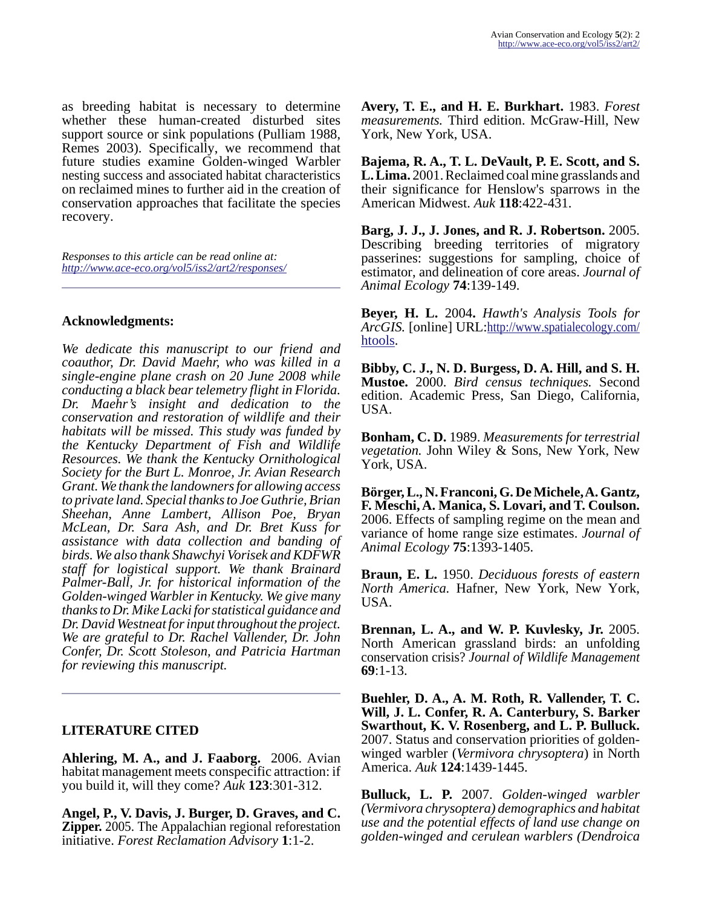as breeding habitat is necessary to determine whether these human-created disturbed sites support source or sink populations (Pulliam 1988, Remes 2003). Specifically, we recommend that future studies examine Golden-winged Warbler nesting success and associated habitat characteristics on reclaimed mines to further aid in the creation of conservation approaches that facilitate the species recovery.

*Responses to this article can be read online at: <http://www.ace-eco.org/vol5/iss2/art2/responses/>*

#### **Acknowledgments:**

*We dedicate this manuscript to our friend and coauthor, Dr. David Maehr, who was killed in a single-engine plane crash on 20 June 2008 while conducting a black bear telemetry flight in Florida. Dr. Maehr's insight and dedication to the conservation and restoration of wildlife and their habitats will be missed. This study was funded by the Kentucky Department of Fish and Wildlife Resources. We thank the Kentucky Ornithological Society for the Burt L. Monroe, Jr. Avian Research Grant. We thank the landowners for allowing access to private land. Special thanks to Joe Guthrie, Brian Sheehan, Anne Lambert, Allison Poe, Bryan McLean, Dr. Sara Ash, and Dr. Bret Kuss for assistance with data collection and banding of birds. We also thank Shawchyi Vorisek and KDFWR staff for logistical support. We thank Brainard Palmer-Ball, Jr. for historical information of the Golden-winged Warbler in Kentucky. We give many thanks to Dr. Mike Lacki for statistical guidance and Dr. David Westneat for input throughout the project. We are grateful to Dr. Rachel Vallender, Dr. John Confer, Dr. Scott Stoleson, and Patricia Hartman for reviewing this manuscript.*

### **LITERATURE CITED**

**Ahlering, M. A., and J. Faaborg.** 2006. Avian habitat management meets conspecific attraction: if you build it, will they come? *Auk* **123**:301-312.

**Angel, P., V. Davis, J. Burger, D. Graves, and C. Zipper.** 2005. The Appalachian regional reforestation initiative. *Forest Reclamation Advisory* **1**:1-2.

**Avery, T. E., and H. E. Burkhart.** 1983. *Forest measurements.* Third edition. McGraw-Hill, New York, New York, USA.

**Bajema, R. A., T. L. DeVault, P. E. Scott, and S. L. Lima.** 2001. Reclaimed coal mine grasslands and their significance for Henslow's sparrows in the American Midwest. *Auk* **118**:422-431.

**Barg, J. J., J. Jones, and R. J. Robertson.** 2005. Describing breeding territories of migratory passerines: suggestions for sampling, choice of estimator, and delineation of core areas. *Journal of Animal Ecology* **74**:139-149.

**Beyer, H. L.** 2004**.** *Hawth's Analysis Tools for ArcGIS.* [online] URL:[http://www.spatialecology.com/](http://www.spatialecology.com/htools/) [htools](http://www.spatialecology.com/htools/).

**Bibby, C. J., N. D. Burgess, D. A. Hill, and S. H. Mustoe.** 2000. *Bird census techniques.* Second edition. Academic Press, San Diego, California, USA.

**Bonham, C. D.** 1989. *Measurements for terrestrial vegetation.* John Wiley & Sons, New York, New York, USA.

**Börger, L., N. Franconi, G. De Michele, A. Gantz, F. Meschi, A. Manica, S. Lovari, and T. Coulson.** 2006. Effects of sampling regime on the mean and variance of home range size estimates. *Journal of Animal Ecology* **75**:1393-1405.

**Braun, E. L.** 1950. *Deciduous forests of eastern North America.* Hafner, New York, New York, USA.

**Brennan, L. A., and W. P. Kuvlesky, Jr.** 2005. North American grassland birds: an unfolding conservation crisis? *Journal of Wildlife Management* **69**:1-13.

**Buehler, D. A., A. M. Roth, R. Vallender, T. C. Will, J. L. Confer, R. A. Canterbury, S. Barker Swarthout, K. V. Rosenberg, and L. P. Bulluck.** 2007. Status and conservation priorities of goldenwinged warbler (*Vermivora chrysoptera*) in North America. *Auk* **124**:1439-1445.

**Bulluck, L. P.** 2007. *Golden-winged warbler (Vermivora chrysoptera) demographics and habitat use and the potential effects of land use change on golden-winged and cerulean warblers (Dendroica*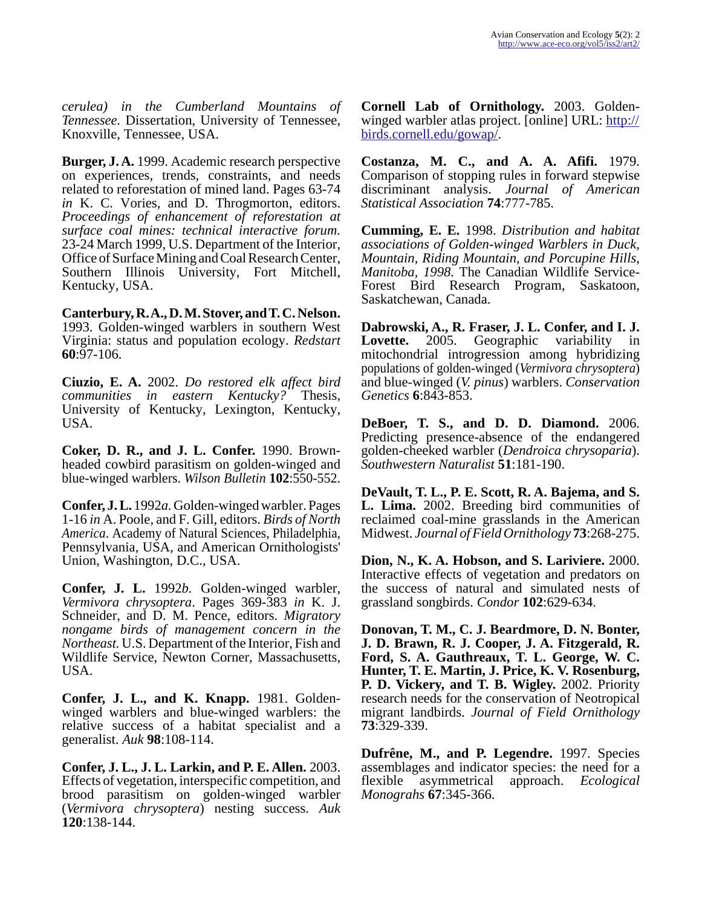*cerulea) in the Cumberland Mountains of Tennessee.* Dissertation, University of Tennessee, Knoxville, Tennessee, USA.

**Burger, J. A.** 1999. Academic research perspective on experiences, trends, constraints, and needs related to reforestation of mined land. Pages 63-74 *in* K. C. Vories, and D. Throgmorton, editors. *Proceedings of enhancement of reforestation at surface coal mines: technical interactive forum.* 23-24 March 1999, U.S. Department of the Interior, Office of Surface Mining and Coal Research Center, Southern Illinois University, Fort Mitchell, Kentucky, USA.

**Canterbury, R. A., D. M. Stover, and T. C. Nelson.** 1993. Golden-winged warblers in southern West Virginia: status and population ecology. *Redstart* **60**:97-106.

**Ciuzio, E. A.** 2002. *Do restored elk affect bird communities in eastern Kentucky?* Thesis, University of Kentucky, Lexington, Kentucky, USA.

**Coker, D. R., and J. L. Confer.** 1990. Brownheaded cowbird parasitism on golden-winged and blue-winged warblers. *Wilson Bulletin* **102**:550-552.

**Confer, J. L.** 1992*a.* Golden-winged warbler. Pages 1-16 *in* A. Poole, and F. Gill, editors. *Birds of North America*. Academy of Natural Sciences, Philadelphia, Pennsylvania, USA, and American Ornithologists' Union, Washington, D.C., USA.

**Confer, J. L.** 1992*b.* Golden-winged warbler, *Vermivora chrysoptera*. Pages 369-383 *in* K. J. Schneider, and D. M. Pence, editors. *Migratory nongame birds of management concern in the Northeast.* U.S. Department of the Interior, Fish and Wildlife Service, Newton Corner, Massachusetts, USA.

**Confer, J. L., and K. Knapp.** 1981. Goldenwinged warblers and blue-winged warblers: the relative success of a habitat specialist and a generalist. *Auk* **98**:108-114.

**Confer, J. L., J. L. Larkin, and P. E. Allen.** 2003. Effects of vegetation, interspecific competition, and brood parasitism on golden-winged warbler (*Vermivora chrysoptera*) nesting success. *Auk* **120**:138-144.

**Cornell Lab of Ornithology.** 2003. Goldenwinged warbler atlas project. [online] URL: [http://](http://birds.cornell.edu/gowap/) [birds.cornell.edu/gowap/](http://birds.cornell.edu/gowap/).

**Costanza, M. C., and A. A. Afifi.** 1979. Comparison of stopping rules in forward stepwise discriminant analysis. *Journal of American Statistical Association* **74**:777-785.

**Cumming, E. E.** 1998. *Distribution and habitat associations of Golden-winged Warblers in Duck, Mountain, Riding Mountain, and Porcupine Hills, Manitoba, 1998.* The Canadian Wildlife Service-Forest Bird Research Program, Saskatoon, Saskatchewan, Canada.

**Dabrowski, A., R. Fraser, J. L. Confer, and I. J. Lovette.** 2005. Geographic variability in mitochondrial introgression among hybridizing populations of golden-winged (*Vermivora chrysoptera*) and blue-winged (*V. pinus*) warblers. *Conservation Genetics* **6**:843-853.

**DeBoer, T. S., and D. D. Diamond.** 2006. Predicting presence-absence of the endangered golden-cheeked warbler (*Dendroica chrysoparia*). *Southwestern Naturalist* **51**:181-190.

**DeVault, T. L., P. E. Scott, R. A. Bajema, and S. L. Lima.** 2002. Breeding bird communities of reclaimed coal-mine grasslands in the American Midwest. *Journal of Field Ornithology* **73**:268-275.

**Dion, N., K. A. Hobson, and S. Lariviere.** 2000. Interactive effects of vegetation and predators on the success of natural and simulated nests of grassland songbirds. *Condor* **102**:629-634.

**Donovan, T. M., C. J. Beardmore, D. N. Bonter, J. D. Brawn, R. J. Cooper, J. A. Fitzgerald, R. Ford, S. A. Gauthreaux, T. L. George, W. C. Hunter, T. E. Martin, J. Price, K. V. Rosenburg, P. D. Vickery, and T. B. Wigley.** 2002. Priority research needs for the conservation of Neotropical migrant landbirds. *Journal of Field Ornithology* **73**:329-339.

**Dufrêne, M., and P. Legendre.** 1997. Species assemblages and indicator species: the need for a flexible asymmetrical approach. *Ecological Monograhs* **67**:345-366.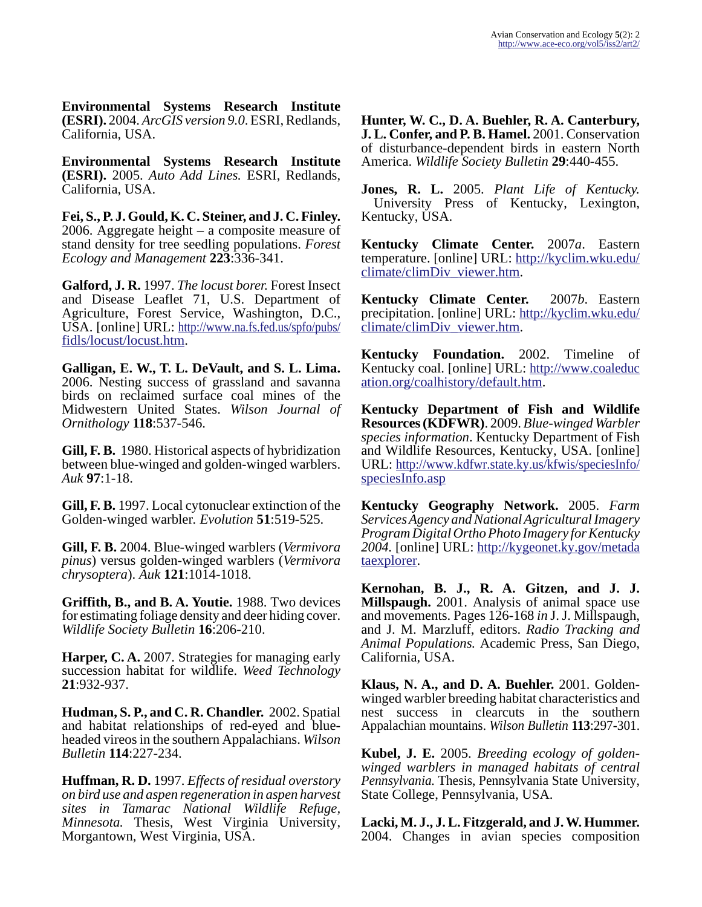**Environmental Systems Research Institute (ESRI).** 2004. *ArcGIS version 9.0*. ESRI, Redlands, California, USA.

**Environmental Systems Research Institute (ESRI).** 2005. *Auto Add Lines.* ESRI, Redlands, California, USA.

**Fei, S., P. J. Gould, K. C. Steiner, and J. C. Finley.** 2006. Aggregate height – a composite measure of stand density for tree seedling populations. *Forest Ecology and Management* **223**:336-341.

**Galford, J. R.** 1997. *The locust borer.* Forest Insect and Disease Leaflet 71, U.S. Department of Agriculture, Forest Service, Washington, D.C., USA. [online] URL: [http://www.na.fs.fed.us/spfo/pubs/](http://www.na.fs.fed.us/spfo/pubs/fidls/locust/locust.htm) [fidls/locust/locust.htm](http://www.na.fs.fed.us/spfo/pubs/fidls/locust/locust.htm).

**Galligan, E. W., T. L. DeVault, and S. L. Lima.** 2006. Nesting success of grassland and savanna birds on reclaimed surface coal mines of the Midwestern United States. *Wilson Journal of Ornithology* **118**:537-546.

**Gill, F. B.** 1980. Historical aspects of hybridization between blue-winged and golden-winged warblers. *Auk* **97**:1-18.

**Gill, F. B.** 1997. Local cytonuclear extinction of the Golden-winged warbler*. Evolution* **51**:519-525.

**Gill, F. B.** 2004. Blue-winged warblers (*Vermivora pinus*) versus golden-winged warblers (*Vermivora chrysoptera*). *Auk* **121**:1014-1018.

**Griffith, B., and B. A. Youtie.** 1988. Two devices for estimating foliage density and deer hiding cover. *Wildlife Society Bulletin* **16**:206-210.

**Harper, C. A.** 2007. Strategies for managing early succession habitat for wildlife. *Weed Technology* **21**:932-937.

**Hudman, S. P., and C. R. Chandler.** 2002. Spatial and habitat relationships of red-eyed and blueheaded vireos in the southern Appalachians. *Wilson Bulletin* **114**:227-234.

**Huffman, R. D.** 1997. *Effects of residual overstory on bird use and aspen regeneration in aspen harvest sites in Tamarac National Wildlife Refuge, Minnesota.* Thesis, West Virginia University, Morgantown, West Virginia, USA.

**Hunter, W. C., D. A. Buehler, R. A. Canterbury, J. L. Confer, and P. B. Hamel.** 2001. Conservation of disturbance-dependent birds in eastern North America. *Wildlife Society Bulletin* **29**:440-455.

**Jones, R. L.** 2005. *Plant Life of Kentucky.* University Press of Kentucky, Lexington, Kentucky, USA.

**Kentucky Climate Center.** 2007*a*. Eastern temperature. [online] URL: [http://kyclim.wku.edu/](http://kyclim.wku.edu/climate/climDiv_viewer.htm) [climate/climDiv\\_viewer.htm](http://kyclim.wku.edu/climate/climDiv_viewer.htm).

**Kentucky Climate Center.** 2007*b*. Eastern precipitation. [online] URL: [http://kyclim.wku.edu/](http://kyclim.wku.edu/climate/climDiv_viewer.htm) [climate/climDiv\\_viewer.htm](http://kyclim.wku.edu/climate/climDiv_viewer.htm).

**Kentucky Foundation.** 2002. Timeline of Kentucky coal. [online] URL: [http://www.coaleduc](http://www.coaleducation.org/coalhistory/default.htm) [ation.org/coalhistory/default.htm.](http://www.coaleducation.org/coalhistory/default.htm)

**Kentucky Department of Fish and Wildlife Resources (KDFWR)**. 2009. *Blue-winged Warbler species information*. Kentucky Department of Fish and Wildlife Resources, Kentucky, USA. [online] URL: [http://www.kdfwr.state.ky.us/kfwis/speciesInfo/](http://www.kdfwr.state.ky.us/kfwis/speciesInfo/speciesInfo.asp) [speciesInfo.asp](http://www.kdfwr.state.ky.us/kfwis/speciesInfo/speciesInfo.asp)

**Kentucky Geography Network.** 2005. *Farm Services Agency and National Agricultural Imagery Program Digital Ortho Photo Imagery for Kentucky 2004.* [online] URL: [http://kygeonet.ky.gov/metada](http://kygeonet.ky.gov/metadataexplorer) [taexplorer.](http://kygeonet.ky.gov/metadataexplorer)

**Kernohan, B. J., R. A. Gitzen, and J. J. Millspaugh.** 2001. Analysis of animal space use and movements. Pages 126-168 *in* J. J. Millspaugh, and J. M. Marzluff, editors. *Radio Tracking and Animal Populations.* Academic Press, San Diego, California, USA.

**Klaus, N. A., and D. A. Buehler.** 2001. Goldenwinged warbler breeding habitat characteristics and nest success in clearcuts in the southern Appalachian mountains. *Wilson Bulletin* **113**:297-301.

**Kubel, J. E.** 2005. *Breeding ecology of goldenwinged warblers in managed habitats of central Pennsylvania.* Thesis, Pennsylvania State University, State College, Pennsylvania, USA.

**Lacki, M. J., J. L. Fitzgerald, and J. W. Hummer.** 2004. Changes in avian species composition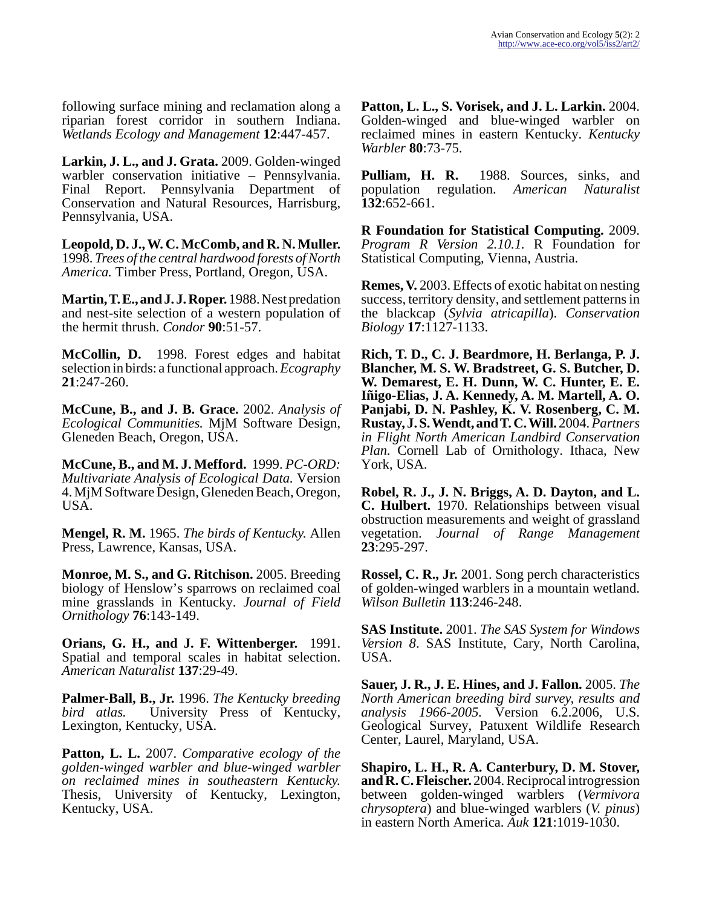following surface mining and reclamation along a riparian forest corridor in southern Indiana. *Wetlands Ecology and Management* **12**:447-457.

**Larkin, J. L., and J. Grata.** 2009. Golden-winged warbler conservation initiative – Pennsylvania. Final Report. Pennsylvania Department of Conservation and Natural Resources, Harrisburg, Pennsylvania, USA.

**Leopold, D. J., W. C. McComb, and R. N. Muller.** 1998. *Trees of the central hardwood forests of North America.* Timber Press, Portland, Oregon, USA.

**Martin, T. E., and J. J. Roper.** 1988. Nest predation and nest-site selection of a western population of the hermit thrush. *Condor* **90**:51-57.

**McCollin, D.** 1998. Forest edges and habitat selection in birds: a functional approach. *Ecography* **21**:247-260.

**McCune, B., and J. B. Grace.** 2002. *Analysis of Ecological Communities.* MjM Software Design, Gleneden Beach, Oregon, USA.

**McCune, B., and M. J. Mefford.** 1999. *PC-ORD: Multivariate Analysis of Ecological Data.* Version 4. MjM Software Design, Gleneden Beach, Oregon, USA.

**Mengel, R. M.** 1965. *The birds of Kentucky.* Allen Press, Lawrence, Kansas, USA.

**Monroe, M. S., and G. Ritchison.** 2005. Breeding biology of Henslow's sparrows on reclaimed coal mine grasslands in Kentucky. *Journal of Field Ornithology* **76**:143-149.

**Orians, G. H., and J. F. Wittenberger.** 1991. Spatial and temporal scales in habitat selection. *American Naturalist* **137**:29-49.

**Palmer-Ball, B., Jr.** 1996. *The Kentucky breeding bird atlas.* University Press of Kentucky, Lexington, Kentucky, USA.

**Patton, L. L.** 2007. *Comparative ecology of the golden-winged warbler and blue-winged warbler on reclaimed mines in southeastern Kentucky.* Thesis, University of Kentucky, Lexington, Kentucky, USA.

**Patton, L. L., S. Vorisek, and J. L. Larkin.** 2004. Golden-winged and blue-winged warbler on reclaimed mines in eastern Kentucky. *Kentucky Warbler* **80**:73-75.

**Pulliam, H. R.** 1988. Sources, sinks, and population regulation. American Naturalist population regulation. *American* **132**:652-661.

**R Foundation for Statistical Computing.** 2009. *Program R Version 2.10.1.* R Foundation for Statistical Computing, Vienna, Austria.

**Remes, V.** 2003. Effects of exotic habitat on nesting success, territory density, and settlement patterns in the blackcap (*Sylvia atricapilla*). *Conservation Biology* **17**:1127-1133.

**Rich, T. D., C. J. Beardmore, H. Berlanga, P. J. Blancher, M. S. W. Bradstreet, G. S. Butcher, D. W. Demarest, E. H. Dunn, W. C. Hunter, E. E. Iñigo-Elias, J. A. Kennedy, A. M. Martell, A. O. Panjabi, D. N. Pashley, K. V. Rosenberg, C. M. Rustay, J. S. Wendt, and T. C. Will.** 2004. *Partners in Flight North American Landbird Conservation Plan.* Cornell Lab of Ornithology. Ithaca, New York, USA.

**Robel, R. J., J. N. Briggs, A. D. Dayton, and L. C. Hulbert.** 1970. Relationships between visual obstruction measurements and weight of grassland vegetation. *Journal of Range Management* **23**:295-297.

**Rossel, C. R., Jr.** 2001. Song perch characteristics of golden-winged warblers in a mountain wetland. *Wilson Bulletin* **113**:246-248.

**SAS Institute.** 2001. *The SAS System for Windows Version 8*. SAS Institute, Cary, North Carolina, USA.

**Sauer, J. R., J. E. Hines, and J. Fallon.** 2005. *The North American breeding bird survey, results and analysis 1966-2005.* Version 6.2.2006, U.S. Geological Survey, Patuxent Wildlife Research Center, Laurel, Maryland, USA.

**Shapiro, L. H., R. A. Canterbury, D. M. Stover, and R. C. Fleischer.** 2004. Reciprocal introgression between golden-winged warblers (*Vermivora chrysoptera*) and blue-winged warblers (*V. pinus*) in eastern North America. *Auk* **121**:1019-1030.